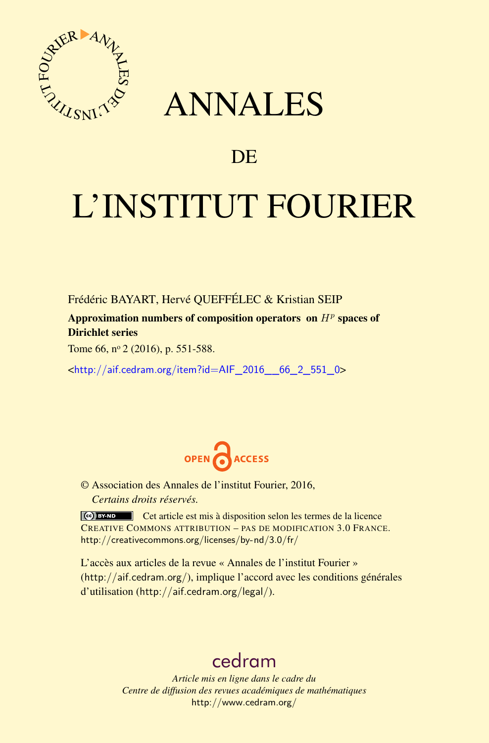

# ANNALES

# **DE**

# L'INSTITUT FOURIER

Frédéric BAYART, Hervé QUEFFÉLEC & Kristian SEIP

Approximation numbers of composition operators on *H<sup>p</sup>* spaces of Dirichlet series

Tome 66, nº 2 (2016), p. 551-588.

<[http://aif.cedram.org/item?id=AIF\\_2016\\_\\_66\\_2\\_551\\_0](http://aif.cedram.org/item?id=AIF_2016__66_2_551_0)>



© Association des Annales de l'institut Fourier, 2016, *Certains droits réservés.*

Cet article est mis à disposition selon les termes de la licence CREATIVE COMMONS ATTRIBUTION – PAS DE MODIFICATION 3.0 FRANCE. <http://creativecommons.org/licenses/by-nd/3.0/fr/>

L'accès aux articles de la revue « Annales de l'institut Fourier » (<http://aif.cedram.org/>), implique l'accord avec les conditions générales d'utilisation (<http://aif.cedram.org/legal/>).

# [cedram](http://www.cedram.org/)

*Article mis en ligne dans le cadre du Centre de diffusion des revues académiques de mathématiques* <http://www.cedram.org/>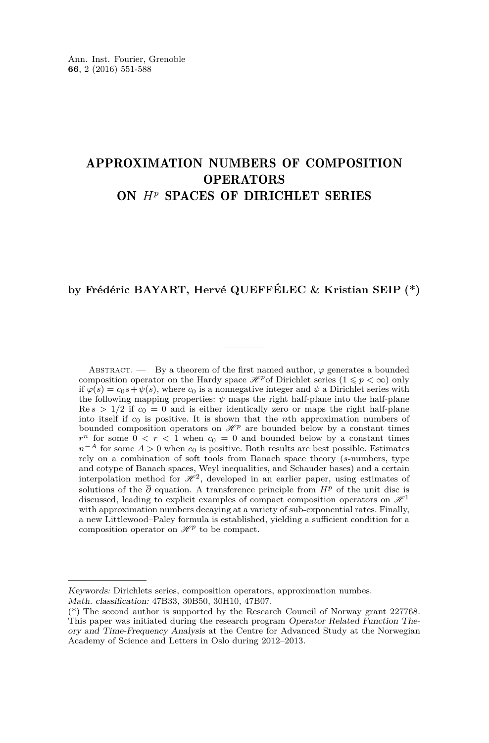# APPROXIMATION NUMBERS OF COMPOSITION **OPERATORS** ON *H<sup>p</sup>* SPACES OF DIRICHLET SERIES

# **by Frédéric BAYART, Hervé QUEFFÉLEC & Kristian SEIP (\*)**

ABSTRACT. — By a theorem of the first named author,  $\varphi$  generates a bounded composition operator on the Hardy space  $\mathcal{H}^p$  of Dirichlet series  $(1 \leq p < \infty)$  only if  $\varphi(s) = c_0 s + \psi(s)$ , where  $c_0$  is a nonnegative integer and  $\psi$  a Dirichlet series with the following mapping properties:  $\psi$  maps the right half-plane into the half-plane  $\text{Re } s > 1/2$  if  $c_0 = 0$  and is either identically zero or maps the right half-plane into itself if *c*<sup>0</sup> is positive. It is shown that the *n*th approximation numbers of bounded composition operators on  $\mathcal{H}^p$  are bounded below by a constant times  $r^n$  for some  $0 < r < 1$  when  $c_0 = 0$  and bounded below by a constant times  $n^{-A}$  for some  $A > 0$  when  $c_0$  is positive. Both results are best possible. Estimates rely on a combination of soft tools from Banach space theory (*s*-numbers, type and cotype of Banach spaces, Weyl inequalities, and Schauder bases) and a certain interpolation method for  $\mathcal{H}^2$ , developed in an earlier paper, using estimates of solutions of the  $\overline{\partial}$  equation. A transference principle from  $H^p$  of the unit disc is discussed, leading to explicit examples of compact composition operators on  $\mathcal{H}^1$ with approximation numbers decaying at a variety of sub-exponential rates. Finally, a new Littlewood–Paley formula is established, yielding a sufficient condition for a composition operator on  $\mathcal{H}^p$  to be compact.

Keywords: Dirichlets series, composition operators, approximation numbes. Math. classification: 47B33, 30B50, 30H10, 47B07.

<sup>(\*)</sup> The second author is supported by the Research Council of Norway grant 227768. This paper was initiated during the research program Operator Related Function Theory and Time-Frequency Analysis at the Centre for Advanced Study at the Norwegian Academy of Science and Letters in Oslo during 2012–2013.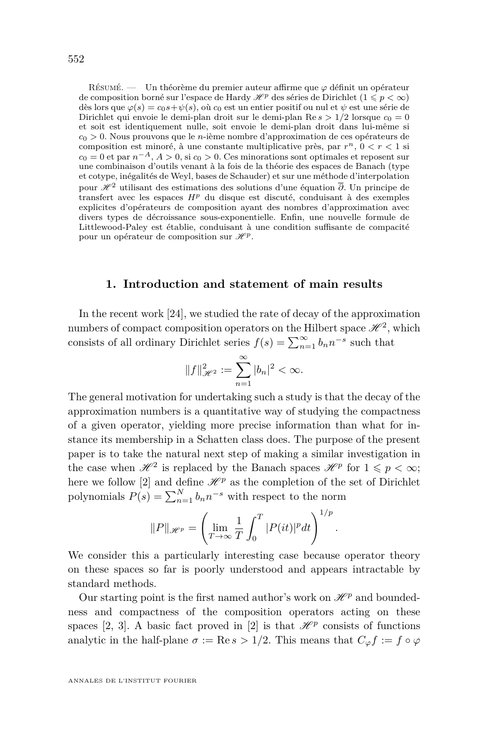Résumé. — Un théorème du premier auteur affirme que *ϕ* définit un opérateur de composition borné sur l'espace de Hardy  $\mathscr{H}^p$  des séries de Dirichlet  $(1 \leq p < \infty)$ dès lors que  $\varphi(s) = c_0 s + \psi(s)$ , où  $c_0$  est un entier positif ou nul et  $\psi$  est une série de Dirichlet qui envoie le demi-plan droit sur le demi-plan  $\text{Re } s > 1/2$  lorsque  $c_0 = 0$ et soit est identiquement nulle, soit envoie le demi-plan droit dans lui-même si *c*<sup>0</sup> *>* 0. Nous prouvons que le *n*-ième nombre d'approximation de ces opérateurs de composition est minoré, à une constante multiplicative près, par  $r^n$ ,  $0 < r < 1$  si  $c_0 = 0$  et par  $n^{-A}$ ,  $A > 0$ , si  $c_0 > 0$ . Ces minorations sont optimales et reposent sur une combinaison d'outils venant à la fois de la théorie des espaces de Banach (type et cotype, inégalités de Weyl, bases de Schauder) et sur une méthode d'interpolation pour H <sup>2</sup> utilisant des estimations des solutions d'une équation *∂*. Un principe de transfert avec les espaces *H<sup>p</sup>* du disque est discuté, conduisant à des exemples explicites d'opérateurs de composition ayant des nombres d'approximation avec divers types de décroissance sous-exponentielle. Enfin, une nouvelle formule de Littlewood-Paley est établie, conduisant à une condition suffisante de compacité pour un opérateur de composition sur  $\mathcal{H}^p$ .

#### **1. Introduction and statement of main results**

In the recent work [\[24\]](#page-37-0), we studied the rate of decay of the approximation numbers of compact composition operators on the Hilbert space  $\mathcal{H}^2$ , which consists of all ordinary Dirichlet series  $f(s) = \sum_{n=1}^{\infty} b_n n^{-s}$  such that

$$
||f||_{\mathcal{H}^2}^2 := \sum_{n=1}^{\infty} |b_n|^2 < \infty.
$$

The general motivation for undertaking such a study is that the decay of the approximation numbers is a quantitative way of studying the compactness of a given operator, yielding more precise information than what for instance its membership in a Schatten class does. The purpose of the present paper is to take the natural next step of making a similar investigation in the case when  $\mathcal{H}^2$  is replaced by the Banach spaces  $\mathcal{H}^p$  for  $1 \leqslant p < \infty$ ; here we follow [\[2\]](#page-36-0) and define  $\mathcal{H}^p$  as the completion of the set of Dirichlet polynomials  $P(s) = \sum_{n=1}^{N} b_n n^{-s}$  with respect to the norm

$$
||P||_{\mathscr{H}^p} = \left(\lim_{T \to \infty} \frac{1}{T} \int_0^T |P(it)|^p dt\right)^{1/p}
$$

*.*

We consider this a particularly interesting case because operator theory on these spaces so far is poorly understood and appears intractable by standard methods.

Our starting point is the first named author's work on  $\mathcal{H}^p$  and boundedness and compactness of the composition operators acting on these spaces [\[2,](#page-36-0) [3\]](#page-36-1). A basic fact proved in [\[2\]](#page-36-0) is that  $\mathcal{H}^p$  consists of functions analytic in the half-plane  $\sigma := \text{Re } s > 1/2$ . This means that  $C_{\varphi} f := f \circ \varphi$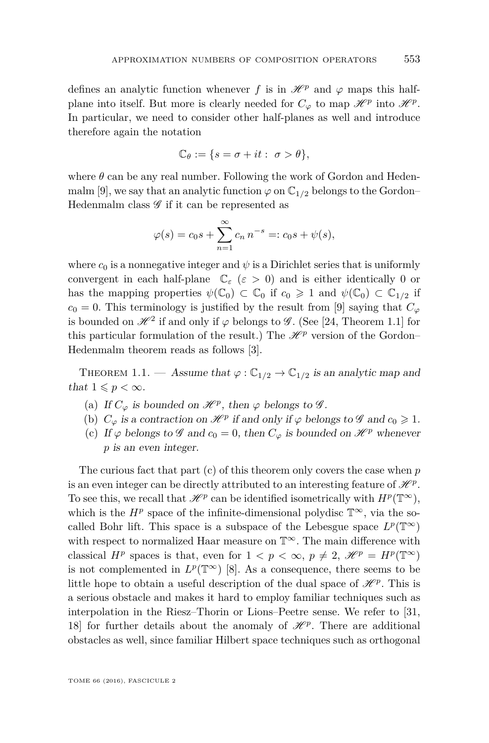defines an analytic function whenever *f* is in  $\mathcal{H}^p$  and  $\varphi$  maps this halfplane into itself. But more is clearly needed for  $C_{\varphi}$  to map  $\mathscr{H}^p$  into  $\mathscr{H}^p$ . In particular, we need to consider other half-planes as well and introduce therefore again the notation

$$
\mathbb{C}_{\theta} := \{ s = \sigma + it : \sigma > \theta \},
$$

where  $\theta$  can be any real number. Following the work of Gordon and Heden-malm [\[9\]](#page-36-2), we say that an analytic function  $\varphi$  on  $\mathbb{C}_{1/2}$  belongs to the Gordon– Hedenmalm class  $\mathscr G$  if it can be represented as

$$
\varphi(s) = c_0 s + \sum_{n=1}^{\infty} c_n n^{-s} =: c_0 s + \psi(s),
$$

where  $c_0$  is a nonnegative integer and  $\psi$  is a Dirichlet series that is uniformly convergent in each half-plane  $\mathbb{C}_{\varepsilon}$  ( $\varepsilon > 0$ ) and is either identically 0 or has the mapping properties  $\psi(\mathbb{C}_0) \subset \mathbb{C}_0$  if  $c_0 \geq 1$  and  $\psi(\mathbb{C}_0) \subset \mathbb{C}_{1/2}$  if  $c_0 = 0$ . This terminology is justified by the result from [\[9\]](#page-36-2) saying that  $C_\varphi$ is bounded on  $\mathcal{H}^2$  if and only if  $\varphi$  belongs to  $\mathcal{G}$ . (See [\[24,](#page-37-0) Theorem 1.1] for this particular formulation of the result.) The  $\mathcal{H}^p$  version of the Gordon– Hedenmalm theorem reads as follows [\[3\]](#page-36-1).

<span id="page-3-0"></span>THEOREM 1.1. — Assume that  $\varphi : \mathbb{C}_{1/2} \to \mathbb{C}_{1/2}$  is an analytic map and that  $1 \leqslant p < \infty$ .

- (a) If  $C_{\varphi}$  is bounded on  $\mathcal{H}^p$ , then  $\varphi$  belongs to  $\mathcal{G}$ .
- (b)  $C_{\varphi}$  is a contraction on  $\mathcal{H}^p$  if and only if  $\varphi$  belongs to  $\mathcal{G}$  and  $c_0 \geq 1$ .
- (c) If  $\varphi$  belongs to  $\mathscr G$  and  $c_0 = 0$ , then  $C_{\varphi}$  is bounded on  $\mathscr H^p$  whenever *p* is an even integer.

The curious fact that part (c) of this theorem only covers the case when *p* is an even integer can be directly attributed to an interesting feature of  $\mathscr{H}^p$ . To see this, we recall that  $\mathscr{H}^p$  can be identified isometrically with  $H^p(\mathbb{T}^\infty)$ , which is the  $H^p$  space of the infinite-dimensional polydisc  $\mathbb{T}^\infty$ , via the socalled Bohr lift. This space is a subspace of the Lebesgue space  $L^p(\mathbb{T}^\infty)$ with respect to normalized Haar measure on  $\mathbb{T}^{\infty}$ . The main difference with classical  $H^p$  spaces is that, even for  $1 < p < \infty$ ,  $p \neq 2$ ,  $\mathscr{H}^p = H^p(\mathbb{T}^\infty)$ is not complemented in  $L^p(\mathbb{T}^\infty)$  [\[8\]](#page-36-3). As a consequence, there seems to be little hope to obtain a useful description of the dual space of  $\mathcal{H}^p$ . This is a serious obstacle and makes it hard to employ familiar techniques such as interpolation in the Riesz–Thorin or Lions–Peetre sense. We refer to [\[31,](#page-37-1) [18\]](#page-37-2) for further details about the anomaly of  $\mathcal{H}^p$ . There are additional obstacles as well, since familiar Hilbert space techniques such as orthogonal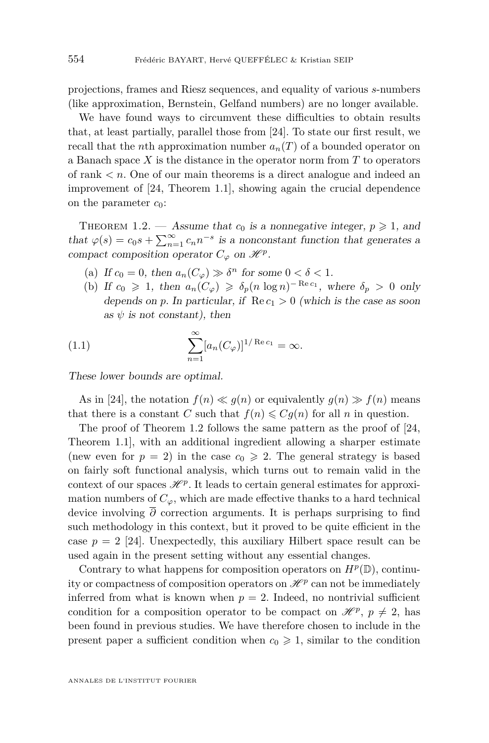projections, frames and Riesz sequences, and equality of various *s*-numbers (like approximation, Bernstein, Gelfand numbers) are no longer available.

We have found ways to circumvent these difficulties to obtain results that, at least partially, parallel those from [\[24\]](#page-37-0). To state our first result, we recall that the *n*th approximation number  $a_n(T)$  of a bounded operator on a Banach space *X* is the distance in the operator norm from *T* to operators of rank *< n*. One of our main theorems is a direct analogue and indeed an improvement of [\[24,](#page-37-0) Theorem 1.1], showing again the crucial dependence on the parameter  $c_0$ :

<span id="page-4-0"></span>THEOREM 1.2. — Assume that  $c_0$  is a nonnegative integer,  $p \geq 1$ , and that  $\varphi(s) = c_0 s + \sum_{n=1}^{\infty} c_n n^{-s}$  is a nonconstant function that generates a compact composition operator  $C_{\varphi}$  on  $\mathscr{H}^p$ .

- (a) If  $c_0 = 0$ , then  $a_n(C_\varphi) \gg \delta^n$  for some  $0 < \delta < 1$ .
- <span id="page-4-1"></span>(b) If  $c_0 \geq 1$ , then  $a_n(C_\varphi) \geq \delta_p(n \log n)^{-\operatorname{Re} c_1}$ , where  $\delta_p > 0$  only depends on *p*. In particular, if  $\text{Re } c_1 > 0$  (which is the case as soon as  $\psi$  is not constant), then

(1.1) 
$$
\sum_{n=1}^{\infty} [a_n(C_{\varphi})]^{1/ \operatorname{Re} c_1} = \infty.
$$

These lower bounds are optimal.

As in [\[24\]](#page-37-0), the notation  $f(n) \ll q(n)$  or equivalently  $q(n) \gg f(n)$  means that there is a constant *C* such that  $f(n) \leq Cg(n)$  for all *n* in question.

The proof of Theorem [1.2](#page-4-0) follows the same pattern as the proof of [\[24,](#page-37-0) Theorem 1.1], with an additional ingredient allowing a sharper estimate (new even for  $p = 2$ ) in the case  $c_0 \geq 2$ . The general strategy is based on fairly soft functional analysis, which turns out to remain valid in the context of our spaces  $\mathcal{H}^p$ . It leads to certain general estimates for approximation numbers of  $C_\varphi$ , which are made effective thanks to a hard technical device involving *∂* correction arguments. It is perhaps surprising to find such methodology in this context, but it proved to be quite efficient in the case  $p = 2$  [\[24\]](#page-37-0). Unexpectedly, this auxiliary Hilbert space result can be used again in the present setting without any essential changes.

Contrary to what happens for composition operators on  $H^p(\mathbb{D})$ , continuity or compactness of composition operators on  $\mathcal{H}^p$  can not be immediately inferred from what is known when  $p = 2$ . Indeed, no nontrivial sufficient condition for a composition operator to be compact on  $\mathcal{H}^p$ ,  $p \neq 2$ , has been found in previous studies. We have therefore chosen to include in the present paper a sufficient condition when  $c_0 \geq 1$ , similar to the condition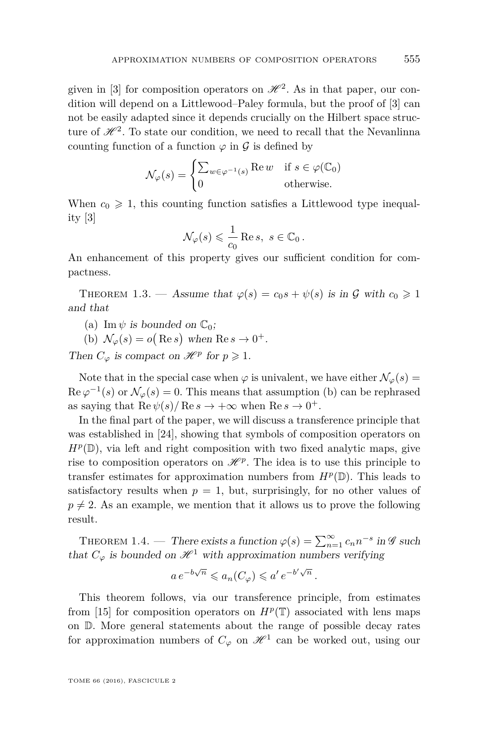given in [\[3\]](#page-36-1) for composition operators on  $\mathcal{H}^2$ . As in that paper, our condition will depend on a Littlewood–Paley formula, but the proof of [\[3\]](#page-36-1) can not be easily adapted since it depends crucially on the Hilbert space structure of  $\mathcal{H}^2$ . To state our condition, we need to recall that the Nevanlinna counting function of a function  $\varphi$  in  $\mathcal G$  is defined by

$$
\mathcal{N}_{\varphi}(s) = \begin{cases} \sum_{w \in \varphi^{-1}(s)} \text{Re } w & \text{if } s \in \varphi(\mathbb{C}_0) \\ 0 & \text{otherwise.} \end{cases}
$$

When  $c_0 \geq 1$ , this counting function satisfies a Littlewood type inequality [\[3\]](#page-36-1)

$$
\mathcal{N}_{\varphi}(s) \leqslant \frac{1}{c_0} \operatorname{Re} s, \ s \in \mathbb{C}_0 \, .
$$

An enhancement of this property gives our sufficient condition for compactness.

<span id="page-5-0"></span>THEOREM 1.3. — Assume that  $\varphi(s) = c_0 s + \psi(s)$  is in G with  $c_0 \geq 1$ and that

(a) Im  $\psi$  is bounded on  $\mathbb{C}_0$ ;

(b)  $\mathcal{N}_{\varphi}(s) = o(\text{Re } s)$  when  $\text{Re } s \to 0^+$ .

Then  $C_{\varphi}$  is compact on  $\mathcal{H}^p$  for  $p \geqslant 1$ .

Note that in the special case when  $\varphi$  is univalent, we have either  $\mathcal{N}_{\varphi}(s) =$  $\text{Re }\varphi^{-1}(s) \text{ or } \mathcal{N}_{\varphi}(s) = 0.$  This means that assumption (b) can be rephrased as saying that  $\text{Re } \psi(s) / \text{Re } s \to +\infty$  when  $\text{Re } s \to 0^+.$ 

In the final part of the paper, we will discuss a transference principle that was established in [\[24\]](#page-37-0), showing that symbols of composition operators on  $H^p(\mathbb{D})$ , via left and right composition with two fixed analytic maps, give rise to composition operators on  $\mathcal{H}^p$ . The idea is to use this principle to transfer estimates for approximation numbers from  $H^p(\mathbb{D})$ . This leads to satisfactory results when  $p = 1$ , but, surprisingly, for no other values of  $p \neq 2$ . As an example, we mention that it allows us to prove the following result.

<span id="page-5-1"></span>THEOREM 1.4. — There exists a function  $\varphi(s) = \sum_{n=1}^{\infty} c_n n^{-s}$  in  $\mathscr G$  such that  $C_{\varphi}$  is bounded on  $\mathcal{H}^1$  with approximation numbers verifying

$$
a e^{-b\sqrt{n}} \leq a_n(C_\varphi) \leq a' e^{-b'\sqrt{n}}.
$$

This theorem follows, via our transference principle, from estimates from [\[15\]](#page-37-3) for composition operators on  $H^p(\mathbb{T})$  associated with lens maps on D. More general statements about the range of possible decay rates for approximation numbers of  $C_{\varphi}$  on  $\mathcal{H}^1$  can be worked out, using our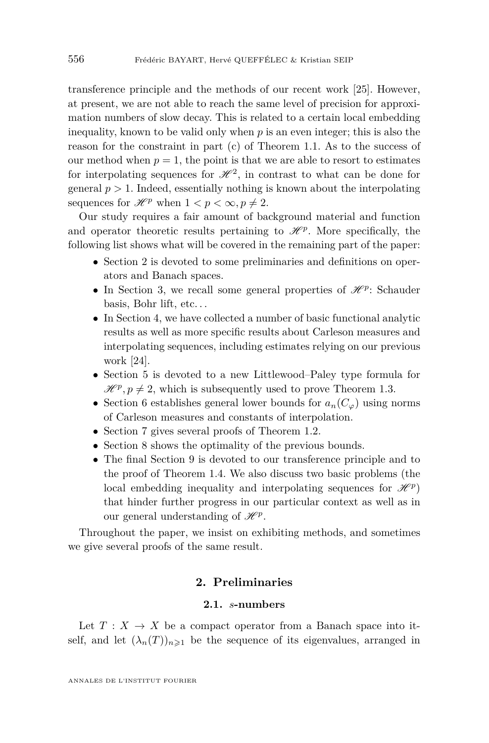transference principle and the methods of our recent work [\[25\]](#page-37-4). However, at present, we are not able to reach the same level of precision for approximation numbers of slow decay. This is related to a certain local embedding inequality, known to be valid only when  $p$  is an even integer; this is also the reason for the constraint in part (c) of Theorem [1.1.](#page-3-0) As to the success of our method when  $p = 1$ , the point is that we are able to resort to estimates for interpolating sequences for  $\mathcal{H}^2$ , in contrast to what can be done for general  $p > 1$ . Indeed, essentially nothing is known about the interpolating sequences for  $\mathcal{H}^p$  when  $1 < p < \infty, p \neq 2$ .

Our study requires a fair amount of background material and function and operator theoretic results pertaining to  $\mathcal{H}^p$ . More specifically, the following list shows what will be covered in the remaining part of the paper:

- Section 2 is devoted to some preliminaries and definitions on operators and Banach spaces.
- In Section 3, we recall some general properties of  $\mathcal{H}^p$ : Schauder basis, Bohr lift, etc. . .
- In Section 4, we have collected a number of basic functional analytic results as well as more specific results about Carleson measures and interpolating sequences, including estimates relying on our previous work [\[24\]](#page-37-0).
- Section 5 is devoted to a new Littlewood–Paley type formula for  $\mathcal{H}^p, p \neq 2$ , which is subsequently used to prove Theorem [1.3.](#page-5-0)
- Section 6 establishes general lower bounds for  $a_n(C_\varphi)$  using norms of Carleson measures and constants of interpolation.
- Section 7 gives several proofs of Theorem [1.2.](#page-4-0)
- Section 8 shows the optimality of the previous bounds.
- The final Section 9 is devoted to our transference principle and to the proof of Theorem [1.4.](#page-5-1) We also discuss two basic problems (the local embedding inequality and interpolating sequences for  $\mathscr{H}^p$ that hinder further progress in our particular context as well as in our general understanding of  $\mathcal{H}^p$ .

Throughout the paper, we insist on exhibiting methods, and sometimes we give several proofs of the same result.

### **2. Preliminaries**

#### **2.1.** *s***-numbers**

<span id="page-6-0"></span>Let  $T: X \to X$  be a compact operator from a Banach space into itself, and let  $(\lambda_n(T))_{n\geq 1}$  be the sequence of its eigenvalues, arranged in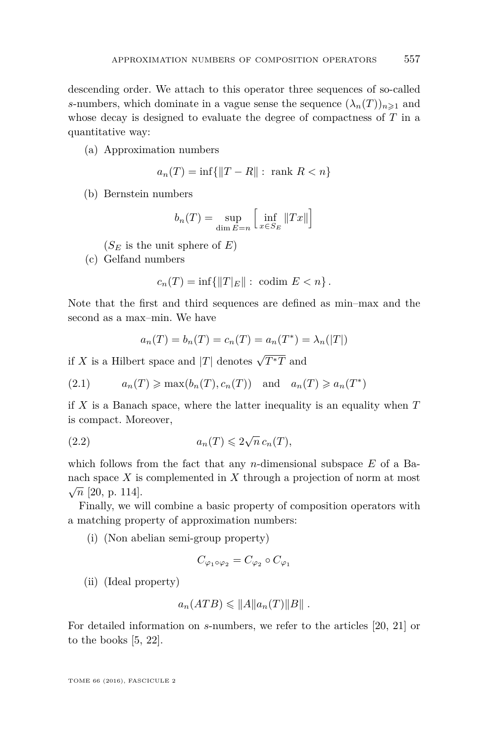descending order. We attach to this operator three sequences of so-called *s*-numbers, which dominate in a vague sense the sequence  $(\lambda_n(T))_{n\geq 1}$  and whose decay is designed to evaluate the degree of compactness of *T* in a quantitative way:

(a) Approximation numbers

$$
a_n(T) = \inf\{\|T - R\| : \text{ rank } R < n\}
$$

(b) Bernstein numbers

$$
b_n(T) = \sup_{\dim E = n} \left[ \inf_{x \in S_E} ||Tx|| \right]
$$

 $(S_E$  is the unit sphere of  $E$ )

(c) Gelfand numbers

$$
c_n(T) = \inf \{ ||T||: \text{ codim } E < n \}.
$$

Note that the first and third sequences are defined as min–max and the second as a max–min. We have

<span id="page-7-1"></span><span id="page-7-0"></span>
$$
a_n(T) = b_n(T) = c_n(T) = a_n(T^*) = \lambda_n(|T|)
$$

if *X* is a Hilbert space and  $|T|$  denotes  $\sqrt{T^*T}$  and

$$
(2.1) \t a_n(T) \ge \max(b_n(T), c_n(T)) \text{ and } a_n(T) \ge a_n(T^*)
$$

if *X* is a Banach space, where the latter inequality is an equality when *T* is compact. Moreover,

(2.2) 
$$
a_n(T) \leqslant 2\sqrt{n} \, c_n(T),
$$

which follows from the fact that any *n*-dimensional subspace *E* of a Banach space *X* is complemented in *X* through a projection of norm at most  $\sqrt{n}$  [\[20,](#page-37-5) p. 114].

Finally, we will combine a basic property of composition operators with a matching property of approximation numbers:

(i) (Non abelian semi-group property)

$$
C_{\varphi_1\circ\varphi_2}=C_{\varphi_2}\circ C_{\varphi_1}
$$

(ii) (Ideal property)

$$
a_n(ATB) \leqslant ||A||a_n(T)||B||.
$$

For detailed information on *s*-numbers, we refer to the articles [\[20,](#page-37-5) [21\]](#page-37-6) or to the books [\[5,](#page-36-4) [22\]](#page-37-7).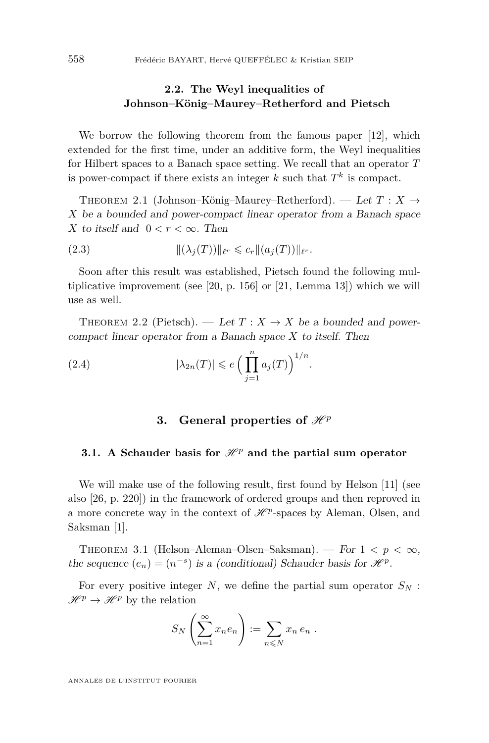# **2.2. The Weyl inequalities of Johnson–König–Maurey–Retherford and Pietsch**

We borrow the following theorem from the famous paper [\[12\]](#page-37-8), which extended for the first time, under an additive form, the Weyl inequalities for Hilbert spaces to a Banach space setting. We recall that an operator *T* is power-compact if there exists an integer  $k$  such that  $T^k$  is compact.

<span id="page-8-2"></span>THEOREM 2.1 (Johnson–König–Maurey–Retherford). — Let  $T: X \rightarrow$ *X* be a bounded and power-compact linear operator from a Banach space *X* to itself and  $0 < r < \infty$ . Then

<span id="page-8-3"></span>(2.3) 
$$
\|(\lambda_j(T))\|_{\ell^r} \leq c_r \| (a_j(T)) \|_{\ell^r}.
$$

Soon after this result was established, Pietsch found the following multiplicative improvement (see [\[20,](#page-37-5) p. 156] or [\[21,](#page-37-6) Lemma 13]) which we will use as well.

<span id="page-8-1"></span>THEOREM 2.2 (Pietsch). — Let  $T: X \to X$  be a bounded and powercompact linear operator from a Banach space *X* to itself. Then

(2.4) 
$$
|\lambda_{2n}(T)| \leqslant e \left( \prod_{j=1}^n a_j(T) \right)^{1/n}.
$$

## <span id="page-8-4"></span>**3.** General properties of  $\mathcal{H}^p$

#### **3.1.** A Schauder basis for  $\mathcal{H}^p$  and the partial sum operator

We will make use of the following result, first found by Helson [\[11\]](#page-37-9) (see also [\[26,](#page-37-10) p. 220]) in the framework of ordered groups and then reproved in a more concrete way in the context of  $\mathcal{H}^p$ -spaces by Aleman, Olsen, and Saksman [\[1\]](#page-36-5).

<span id="page-8-0"></span>THEOREM 3.1 (Helson–Aleman–Olsen–Saksman). — For  $1 < p < \infty$ , the sequence  $(e_n) = (n^{-s})$  is a (conditional) Schauder basis for  $\mathcal{H}^p$ .

For every positive integer  $N$ , we define the partial sum operator  $S_N$ :  $\mathscr{H}^p \to \mathscr{H}^p$  by the relation

$$
S_N\left(\sum_{n=1}^{\infty} x_n e_n\right) := \sum_{n\leq N} x_n e_n.
$$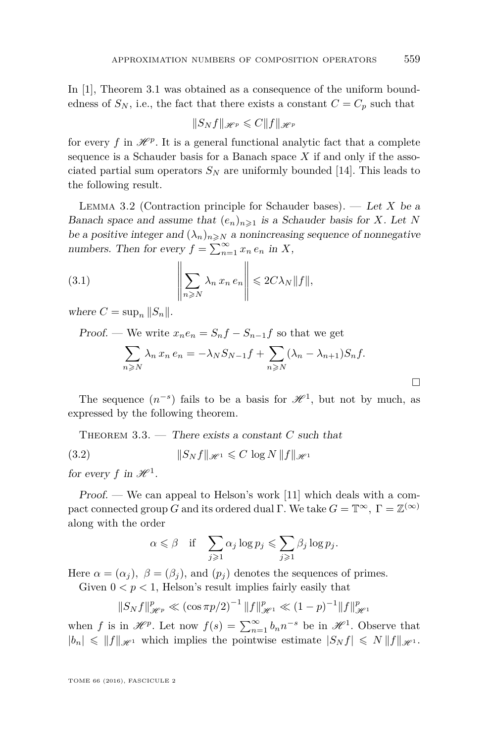In [\[1\]](#page-36-5), Theorem [3.1](#page-8-0) was obtained as a consequence of the uniform boundedness of  $S_N$ , i.e., the fact that there exists a constant  $C = C_p$  such that

$$
||S_N f||_{\mathcal{H}^p} \leqslant C||f||_{\mathcal{H}^p}
$$

for every  $f$  in  $\mathcal{H}^p$ . It is a general functional analytic fact that a complete sequence is a Schauder basis for a Banach space  $X$  if and only if the associated partial sum operators  $S_N$  are uniformly bounded [\[14\]](#page-37-11). This leads to the following result.

<span id="page-9-3"></span>Lemma 3.2 (Contraction principle for Schauder bases). — Let *X* be a Banach space and assume that  $(e_n)_{n\geq 1}$  is a Schauder basis for *X*. Let *N* be a positive integer and  $(\lambda_n)_{n\geq N}$  a nonincreasing sequence of nonnegative numbers. Then for every  $f = \sum_{n=1}^{\infty} x_n e_n$  in *X*,

(3.1) 
$$
\left\|\sum_{n\geqslant N}\lambda_n x_n e_n\right\| \leqslant 2C\lambda_N \|f\|,
$$

where  $C = \sup_n ||S_n||$ .

Proof. — We write  $x_ne_n = S_nf - S_{n-1}f$  so that we get

<span id="page-9-2"></span>
$$
\sum_{n\geqslant N} \lambda_n x_n e_n = -\lambda_N S_{N-1} f + \sum_{n\geqslant N} (\lambda_n - \lambda_{n+1}) S_n f.
$$

The sequence  $(n^{-s})$  fails to be a basis for  $\mathcal{H}^1$ , but not by much, as expressed by the following theorem.

<span id="page-9-1"></span>THEOREM 3.3. — There exists a constant *C* such that (3.2)  $||S_N f||_{\mathcal{H}^1} \leq C \log N ||f||_{\mathcal{H}^1}$ 

for every  $f$  in  $\mathcal{H}^1$ .

Proof. — We can appeal to Helson's work [\[11\]](#page-37-9) which deals with a compact connected group *G* and its ordered dual Γ. We take  $G = \mathbb{T}^{\infty}$ ,  $\Gamma = \mathbb{Z}^{(\infty)}$ along with the order

<span id="page-9-0"></span>
$$
\alpha \leqslant \beta \quad \text{if} \quad \sum_{j\geqslant 1} \alpha_j \log p_j \leqslant \sum_{j\geqslant 1} \beta_j \log p_j.
$$

Here  $\alpha = (\alpha_j)$ ,  $\beta = (\beta_j)$ , and  $(p_j)$  denotes the sequences of primes.

Given  $0 < p < 1$ , Helson's result implies fairly easily that

$$
||S_N f||_{\mathcal{H}^p}^p \ll (\cos \pi p/2)^{-1} ||f||_{\mathcal{H}^1}^p \ll (1-p)^{-1} ||f||_{\mathcal{H}^1}^p
$$

when *f* is in  $\mathscr{H}^p$ . Let now  $f(s) = \sum_{n=1}^{\infty} b_n n^{-s}$  be in  $\mathscr{H}^1$ . Observe that  $|b_n| \leq \|f\|_{\mathscr{H}^1}$  which implies the pointwise estimate  $|S_N f| \leq N \|f\|_{\mathscr{H}^1}$ .

TOME 66 (2016), FASCICULE 2

П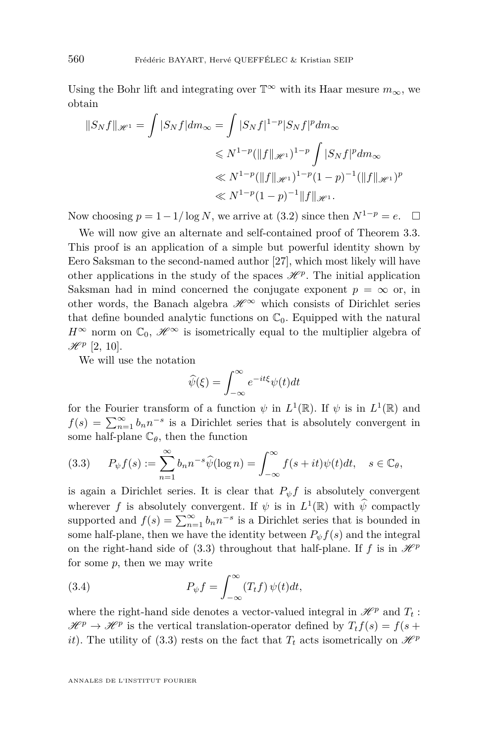Using the Bohr lift and integrating over  $\mathbb{T}^{\infty}$  with its Haar mesure  $m_{\infty}$ , we obtain

$$
||S_N f||_{\mathscr{H}^1} = \int |S_N f| dm_{\infty} = \int |S_N f|^{1-p} |S_N f|^p dm_{\infty}
$$
  

$$
\leq N^{1-p} (||f||_{\mathscr{H}^1})^{1-p} \int |S_N f|^p dm_{\infty}
$$
  

$$
\leq N^{1-p} (||f||_{\mathscr{H}^1})^{1-p} (1-p)^{-1} (||f||_{\mathscr{H}^1})^p
$$
  

$$
\leq N^{1-p} (1-p)^{-1} ||f||_{\mathscr{H}^1}.
$$

Now choosing  $p = 1 - 1/\log N$ , we arrive at [\(3.2\)](#page-9-0) since then  $N^{1-p} = e$ .  $\Box$ 

We will now give an alternate and self-contained proof of Theorem [3.3.](#page-9-1) This proof is an application of a simple but powerful identity shown by Eero Saksman to the second-named author [\[27\]](#page-37-12), which most likely will have other applications in the study of the spaces  $\mathcal{H}^p$ . The initial application Saksman had in mind concerned the conjugate exponent  $p = \infty$  or, in other words, the Banach algebra  $\mathscr{H}^{\infty}$  which consists of Dirichlet series that define bounded analytic functions on  $\mathbb{C}_0$ . Equipped with the natural  $H^{\infty}$  norm on  $\mathbb{C}_0$ ,  $\mathscr{H}^{\infty}$  is isometrically equal to the multiplier algebra of  $\mathscr{H}^p$  [\[2,](#page-36-0) [10\]](#page-37-13).

We will use the notation

$$
\widehat{\psi}(\xi) = \int_{-\infty}^{\infty} e^{-it\xi} \psi(t) dt
$$

for the Fourier transform of a function  $\psi$  in  $L^1(\mathbb{R})$ . If  $\psi$  is in  $L^1(\mathbb{R})$  and  $f(s) = \sum_{n=1}^{\infty} b_n n^{-s}$  is a Dirichlet series that is absolutely convergent in some half-plane  $\mathbb{C}_{\theta}$ , then the function

<span id="page-10-0"></span>(3.3) 
$$
P_{\psi}f(s) := \sum_{n=1}^{\infty} b_n n^{-s} \widehat{\psi}(\log n) = \int_{-\infty}^{\infty} f(s+it)\psi(t)dt, \quad s \in \mathbb{C}_{\theta},
$$

is again a Dirichlet series. It is clear that  $P_{\psi} f$  is absolutely convergent wherever *f* is absolutely convergent. If  $\psi$  is in  $L^1(\mathbb{R})$  with  $\widehat{\psi}$  compactly supported and  $f(s) = \sum_{n=1}^{\infty} b_n n^{-s}$  is a Dirichlet series that is bounded in some half-plane, then we have the identity between  $P_{\psi} f(s)$  and the integral on the right-hand side of [\(3.3\)](#page-10-0) throughout that half-plane. If *f* is in  $\mathcal{H}^p$ for some *p*, then we may write

<span id="page-10-1"></span>(3.4) 
$$
P_{\psi}f = \int_{-\infty}^{\infty} (T_t f) \psi(t) dt,
$$

where the right-hand side denotes a vector-valued integral in  $\mathcal{H}^p$  and  $T_t$ :  $\mathcal{H}^p \to \mathcal{H}^p$  is the vertical translation-operator defined by  $T_t f(s) = f(s +$ *it*). The utility of [\(3.3\)](#page-10-0) rests on the fact that  $T_t$  acts isometrically on  $\mathcal{H}^p$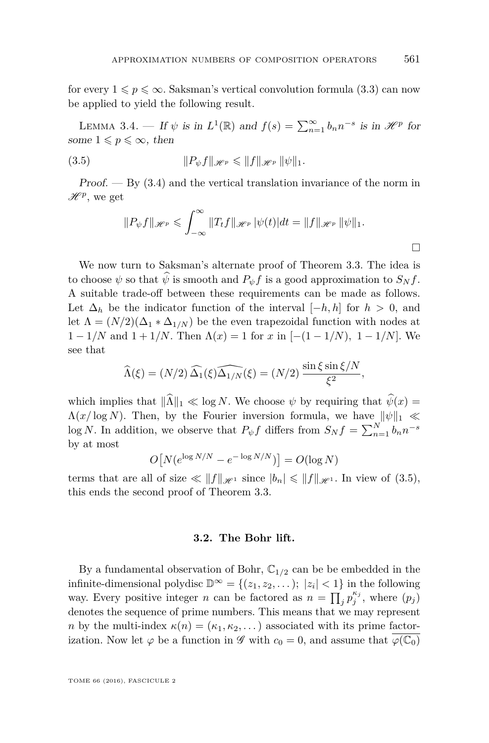for every  $1 \leqslant p \leqslant \infty$ . Saksman's vertical convolution formula [\(3.3\)](#page-10-0) can now be applied to yield the following result.

LEMMA 3.4. — If  $\psi$  is in  $L^1(\mathbb{R})$  and  $f(s) = \sum_{n=1}^{\infty} b_n n^{-s}$  is in  $\mathcal{H}^p$  for some  $1 \leqslant p \leqslant \infty$ , then

(3.5) 
$$
||P_{\psi}f||_{\mathscr{H}^p} \leq ||f||_{\mathscr{H}^p} ||\psi||_1.
$$

 $Proof. - By (3.4)$  $Proof. - By (3.4)$  and the vertical translation invariance of the norm in  $\mathscr{H}^p$ , we get

<span id="page-11-0"></span>
$$
||P_{\psi}f||_{\mathscr{H}^p} \leqslant \int_{-\infty}^{\infty} ||T_t f||_{\mathscr{H}^p} |\psi(t)| dt = ||f||_{\mathscr{H}^p} ||\psi||_1.
$$

We now turn to Saksman's alternate proof of Theorem [3.3.](#page-9-1) The idea is to choose  $\psi$  so that  $\hat{\psi}$  is smooth and  $P_{\psi}f$  is a good approximation to  $S_N f$ . A suitable trade-off between these requirements can be made as follows. Let  $\Delta_h$  be the indicator function of the interval  $[-h, h]$  for  $h > 0$ , and let  $\Lambda = (N/2)(\Delta_1 * \Delta_{1/N})$  be the even trapezoidal function with nodes at  $1 - 1/N$  and  $1 + 1/N$ . Then  $\Lambda(x) = 1$  for  $x$  in  $[-(1 - 1/N), 1 - 1/N]$ . We see that

$$
\widehat{\Lambda}(\xi) = (N/2) \widehat{\Delta_1}(\xi) \widehat{\Delta_{1/N}}(\xi) = (N/2) \frac{\sin \xi \sin \xi / N}{\xi^2},
$$

which implies that  $\|\hat{\Lambda}\|_1 \ll \log N$ . We choose  $\psi$  by requiring that  $\hat{\psi}(x) =$  $\Lambda(x/\log N)$ . Then, by the Fourier inversion formula, we have  $\|\psi\|_1 \ll$  $\log N$ . In addition, we observe that  $P_{\psi} f$  differs from  $S_N f = \sum_{n=1}^N b_n n^{-s}$ by at most

$$
O[N(e^{\log N/N} - e^{-\log N/N})] = O(\log N)
$$

terms that are all of size  $\ll ||f||_{\mathscr{H}^1}$  since  $|b_n| \leq ||f||_{\mathscr{H}^1}$ . In view of [\(3.5\)](#page-11-0), this ends the second proof of Theorem [3.3.](#page-9-1)

#### **3.2. The Bohr lift.**

By a fundamental observation of Bohr,  $\mathbb{C}_{1/2}$  can be be embedded in the infinite-dimensional polydisc  $\mathbb{D}^{\infty} = \{(z_1, z_2, \dots); |z_i| < 1\}$  in the following way. Every positive integer *n* can be factored as  $n = \prod_j p_j^{\kappa_j}$ , where  $(p_j)$ denotes the sequence of prime numbers. This means that we may represent *n* by the multi-index  $\kappa(n) = (\kappa_1, \kappa_2, \dots)$  associated with its prime factorization. Now let  $\varphi$  be a function in  $\mathscr G$  with  $c_0 = 0$ , and assume that  $\varphi(\mathbb{C}_0)$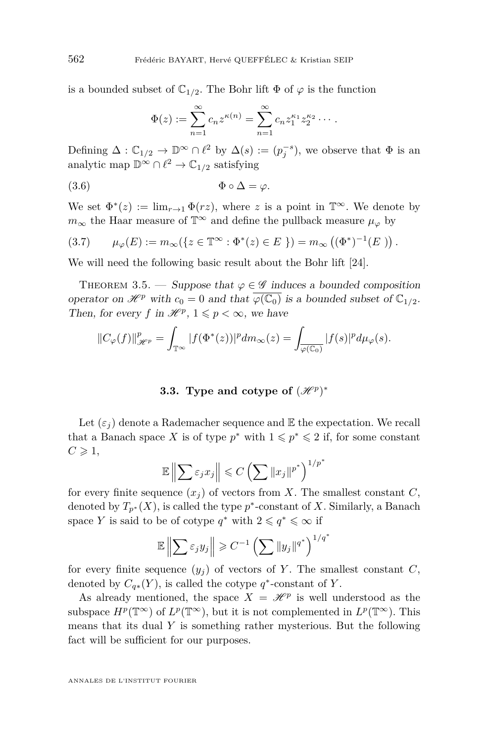is a bounded subset of  $\mathbb{C}_{1/2}$ . The Bohr lift  $\Phi$  of  $\varphi$  is the function

<span id="page-12-1"></span>
$$
\Phi(z) := \sum_{n=1}^{\infty} c_n z^{\kappa(n)} = \sum_{n=1}^{\infty} c_n z_1^{\kappa_1} z_2^{\kappa_2} \cdots
$$

Defining  $\Delta: \mathbb{C}_{1/2} \to \mathbb{D}^{\infty} \cap \ell^2$  by  $\Delta(s) := (p_j^{-s}),$  we observe that  $\Phi$  is an analytic map  $\mathbb{D}^{\infty} \cap \ell^2 \to \mathbb{C}_{1/2}$  satisfying

$$
(3.6) \t\t \Phi \circ \Delta = \varphi.
$$

We set  $\Phi^*(z) := \lim_{r \to 1} \Phi(rz)$ , where *z* is a point in  $\mathbb{T}^\infty$ . We denote by  $m_{\infty}$  the Haar measure of  $\mathbb{T}^{\infty}$  and define the pullback measure  $\mu_{\varphi}$  by

<span id="page-12-0"></span>(3.7) 
$$
\mu_{\varphi}(E) := m_{\infty}(\{z \in \mathbb{T}^{\infty} : \Phi^*(z) \in E\}) = m_{\infty}((\Phi^*)^{-1}(E))
$$
.

We will need the following basic result about the Bohr lift [\[24\]](#page-37-0).

<span id="page-12-2"></span>THEOREM 3.5. — Suppose that  $\varphi \in \mathscr{G}$  induces a bounded composition operator on  $\mathcal{H}^p$  with  $c_0 = 0$  and that  $\varphi(\mathbb{C}_0)$  is a bounded subset of  $\mathbb{C}_{1/2}$ . Then, for every *f* in  $\mathcal{H}^p$ ,  $1 \leq p < \infty$ , we have

$$
||C_{\varphi}(f)||_{\mathscr{H}^p}^p = \int_{\mathbb{T}^{\infty}} |f(\Phi^*(z))|^p dm_{\infty}(z) = \int_{\overline{\varphi(\mathbb{C}_0)}} |f(s)|^p d\mu_{\varphi}(s).
$$

# **3.3.** Type and cotype of  $(\mathscr{H}^p)^*$

Let  $(\varepsilon_i)$  denote a Rademacher sequence and  $\mathbb E$  the expectation. We recall that a Banach space *X* is of type  $p^*$  with  $1 \leqslant p^* \leqslant 2$  if, for some constant  $C \geqslant 1$ ,

$$
\mathbb{E}\left\|\sum\varepsilon_jx_j\right\|\leqslant C\left(\sum\|x_j\|^{p^*}\right)^{1/p^*}
$$

for every finite sequence  $(x_i)$  of vectors from X. The smallest constant  $C$ , denoted by  $T_{p^*}(X)$ , is called the type  $p^*$ -constant of *X*. Similarly, a Banach space *Y* is said to be of cotype  $q^*$  with  $2 \leqslant q^* \leqslant \infty$  if

$$
\mathbb{E}\left\|\sum\varepsilon_j y_j\right\| \geqslant C^{-1}\left(\sum\|y_j\|^{q^*}\right)^{1/q^*}
$$

for every finite sequence  $(y_i)$  of vectors of *Y*. The smallest constant *C*, denoted by  $C_{q*}(Y)$ , is called the cotype  $q^*$ -constant of Y.

As already mentioned, the space  $X = \mathcal{H}^p$  is well understood as the subspace  $H^p(\mathbb{T}^\infty)$  of  $L^p(\mathbb{T}^\infty)$ , but it is not complemented in  $L^p(\mathbb{T}^\infty)$ . This means that its dual *Y* is something rather mysterious. But the following fact will be sufficient for our purposes.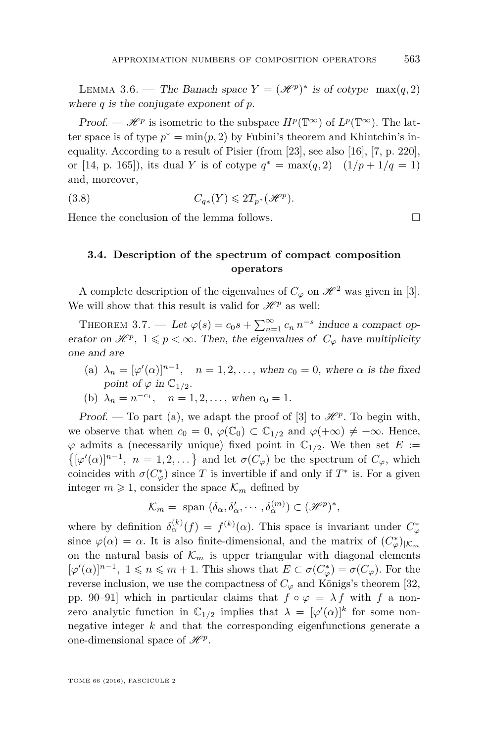<span id="page-13-0"></span>LEMMA 3.6. — The Banach space  $Y = (\mathcal{H}^p)^*$  is of cotype  $\max(q, 2)$ where *q* is the conjugate exponent of *p*.

*Proof.* —  $\mathscr{H}^p$  is isometric to the subspace  $H^p(\mathbb{T}^\infty)$  of  $L^p(\mathbb{T}^\infty)$ . The latter space is of type  $p^* = \min(p, 2)$  by Fubini's theorem and Khintchin's inequality. According to a result of Pisier (from [\[23\]](#page-37-14), see also [\[16\]](#page-37-15), [\[7,](#page-36-6) p. 220], or [\[14,](#page-37-11) p. 165]), its dual *Y* is of cotype  $q^* = \max(q, 2)$   $(1/p + 1/q = 1)$ and, moreover,

(3.8) 
$$
C_{q*}(Y) \leq 2T_{p^*}(\mathcal{H}^p).
$$

Hence the conclusion of the lemma follows.

<span id="page-13-3"></span><span id="page-13-1"></span>**3.4. Description of the spectrum of compact composition operators**

A complete description of the eigenvalues of  $C_\varphi$  on  $\mathscr{H}^2$  was given in [\[3\]](#page-36-1). We will show that this result is valid for  $\mathcal{H}^p$  as well:

<span id="page-13-2"></span>THEOREM 3.7. — Let  $\varphi(s) = c_0 s + \sum_{n=1}^{\infty} c_n n^{-s}$  induce a compact operator on  $\mathscr{H}^p$ ,  $1 \leq p < \infty$ . Then, the eigenvalues of  $C_\varphi$  have multiplicity one and are

(a)  $\lambda_n = [\varphi'(\alpha)]^{n-1}$ ,  $n = 1, 2, \ldots$ , when  $c_0 = 0$ , where  $\alpha$  is the fixed point of  $\varphi$  in  $\mathbb{C}_{1/2}$ .

(b) 
$$
\lambda_n = n^{-c_1}, \quad n = 1, 2, \dots
$$
, when  $c_0 = 1$ .

Proof. — To part (a), we adapt the proof of [\[3\]](#page-36-1) to  $\mathcal{H}^p$ . To begin with, we observe that when  $c_0 = 0$ ,  $\varphi(\mathbb{C}_0) \subset \mathbb{C}_{1/2}$  and  $\varphi(+\infty) \neq +\infty$ . Hence,  $\varphi$  admits a (necessarily unique) fixed point in  $\mathbb{C}_{1/2}$ . We then set *E* :=  $\{ [\varphi'(\alpha)]^{n-1}, n = 1, 2, \dots \}$  and let  $\sigma(C_{\varphi})$  be the spectrum of  $C_{\varphi}$ , which coincides with  $\sigma(C^*_{\varphi})$  since *T* is invertible if and only if  $T^*$  is. For a given integer  $m \geq 1$ , consider the space  $\mathcal{K}_m$  defined by

$$
\mathcal{K}_m = \text{ span } (\delta_\alpha, \delta'_\alpha, \cdots, \delta_\alpha^{(m)}) \subset (\mathcal{H}^p)^*,
$$

where by definition  $\delta_{\alpha}^{(k)}(f) = f^{(k)}(\alpha)$ . This space is invariant under  $C_{\varphi}^*$ since  $\varphi(\alpha) = \alpha$ . It is also finite-dimensional, and the matrix of  $(C^*_{\varphi})_{|\mathcal{K}_m}$ on the natural basis of  $\mathcal{K}_m$  is upper triangular with diagonal elements  $[\varphi'(\alpha)]^{n-1}$ ,  $1 \leq n \leq m+1$ . This shows that  $E \subset \sigma(C_{\varphi}^*) = \sigma(C_{\varphi})$ . For the reverse inclusion, we use the compactness of  $C_\varphi$  and Königs's theorem [\[32,](#page-38-0) pp. 90–91] which in particular claims that  $f \circ \varphi = \lambda f$  with  $f$  a nonzero analytic function in  $\mathbb{C}_{1/2}$  implies that  $\lambda = [\varphi'(\alpha)]^k$  for some nonnegative integer *k* and that the corresponding eigenfunctions generate a one-dimensional space of  $\mathscr{H}^p$ .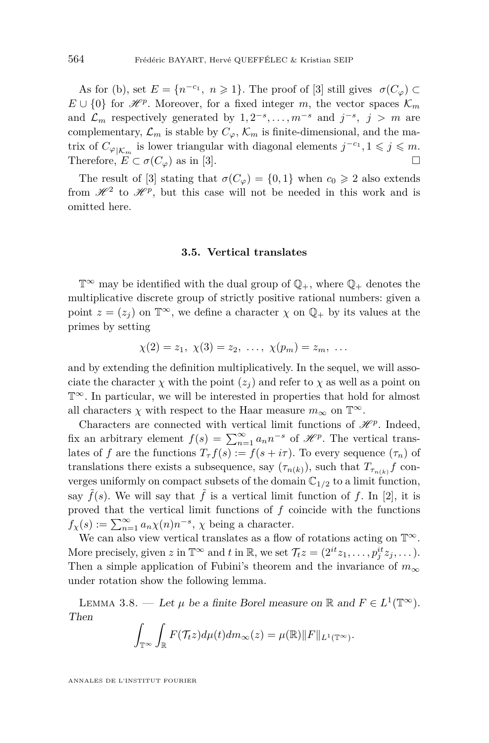As for (b), set  $E = \{n^{-c_1}, n \ge 1\}$ . The proof of [\[3\]](#page-36-1) still gives  $\sigma(C_\varphi) \subset$  $E \cup \{0\}$  for  $\mathcal{H}^p$ . Moreover, for a fixed integer *m*, the vector spaces  $\mathcal{K}_m$ and  $\mathcal{L}_m$  respectively generated by  $1, 2^{-s}, \ldots, m^{-s}$  and  $j^{-s}, j > m$  are complementary,  $\mathcal{L}_m$  is stable by  $C_\varphi$ ,  $\mathcal{K}_m$  is finite-dimensional, and the matrix of  $C_{\varphi|\mathcal{K}_m}$  is lower triangular with diagonal elements  $j^{-c_1}, 1 \leq j \leq m$ . Therefore,  $E \subset \sigma(C_\varphi)$  as in [\[3\]](#page-36-1).

The result of [\[3\]](#page-36-1) stating that  $\sigma(C_\varphi) = \{0,1\}$  when  $c_0 \geq 2$  also extends from  $\mathcal{H}^2$  to  $\mathcal{H}^p$ , but this case will not be needed in this work and is omitted here.

#### **3.5. Vertical translates**

 $\mathbb{T}^{\infty}$  may be identified with the dual group of  $\mathbb{Q}_{+}$ , where  $\mathbb{Q}_{+}$  denotes the multiplicative discrete group of strictly positive rational numbers: given a point  $z = (z_i)$  on  $\mathbb{T}^\infty$ , we define a character  $\chi$  on  $\mathbb{Q}_+$  by its values at the primes by setting

$$
\chi(2) = z_1, \ \chi(3) = z_2, \ \ldots, \ \chi(p_m) = z_m, \ \ldots
$$

and by extending the definition multiplicatively. In the sequel, we will associate the character  $\chi$  with the point  $(z_i)$  and refer to  $\chi$  as well as a point on T<sup>∞</sup>. In particular, we will be interested in properties that hold for almost all characters  $\chi$  with respect to the Haar measure  $m_{\infty}$  on  $\mathbb{T}^{\infty}$ .

Characters are connected with vertical limit functions of  $\mathcal{H}^p$ . Indeed, fix an arbitrary element  $f(s) = \sum_{n=1}^{\infty} a_n n^{-s}$  of  $\mathcal{H}^p$ . The vertical translates of *f* are the functions  $T_\tau f(s) := f(s + i\tau)$ . To every sequence  $(\tau_n)$  of translations there exists a subsequence, say  $(\tau_{n(k)})$ , such that  $T_{\tau_{n(k)}}f$  converges uniformly on compact subsets of the domain  $\mathbb{C}_{1/2}$  to a limit function, say  $\tilde{f}(s)$ . We will say that  $\tilde{f}$  is a vertical limit function of f. In [\[2\]](#page-36-0), it is proved that the vertical limit functions of *f* coincide with the functions  $f_{\chi}(s) := \sum_{n=1}^{\infty} a_n \chi(n) n^{-s}, \chi$  being a character.

We can also view vertical translates as a flow of rotations acting on  $\mathbb{T}^\infty.$ More precisely, given  $z$  in  $\mathbb{T}^{\infty}$  and  $t$  in  $\mathbb{R}$ , we set  $\mathcal{T}_t z = (2^{it}z_1, \ldots, p_j^{it}z_j, \ldots)$ . Then a simple application of Fubini's theorem and the invariance of  $m_{\infty}$ under rotation show the following lemma.

<span id="page-14-0"></span>LEMMA 3.8. — Let  $\mu$  be a finite Borel measure on  $\mathbb R$  and  $F \in L^1(\mathbb T^\infty)$ . Then

$$
\int_{\mathbb{T}^{\infty}} \int_{\mathbb{R}} F(\mathcal{T}_t z) d\mu(t) dm_{\infty}(z) = \mu(\mathbb{R}) ||F||_{L^1(\mathbb{T}^{\infty})}.
$$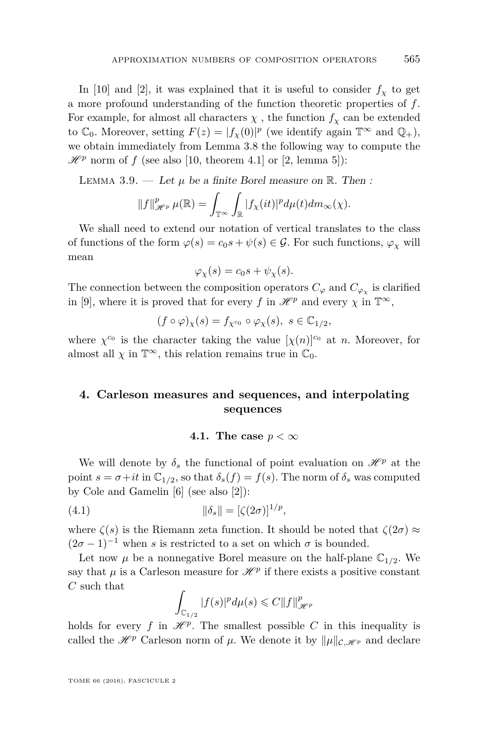In [\[10\]](#page-37-13) and [\[2\]](#page-36-0), it was explained that it is useful to consider  $f<sub>\chi</sub>$  to get a more profound understanding of the function theoretic properties of *f*. For example, for almost all characters  $\chi$ , the function  $f_\chi$  can be extended to  $\mathbb{C}_0$ . Moreover, setting  $F(z) = |f_\chi(0)|^p$  (we identify again  $\mathbb{T}^\infty$  and  $\mathbb{Q}_+$ ), we obtain immediately from Lemma [3.8](#page-14-0) the following way to compute the  $\mathscr{H}^p$  norm of f (see also [\[10,](#page-37-13) theorem 4.1] or [\[2,](#page-36-0) lemma 5]):

<span id="page-15-1"></span>LEMMA 3.9. — Let  $\mu$  be a finite Borel measure on  $\mathbb{R}$ . Then :

$$
||f||_{\mathscr{H}^p}^p \mu(\mathbb{R}) = \int_{\mathbb{T}^\infty} \int_{\mathbb{R}} |f_\chi(it)|^p d\mu(t) dm_\infty(\chi).
$$

We shall need to extend our notation of vertical translates to the class of functions of the form  $\varphi(s) = c_0 s + \psi(s) \in \mathcal{G}$ . For such functions,  $\varphi_\chi$  will mean

$$
\varphi_{\chi}(s) = c_0 s + \psi_{\chi}(s).
$$

The connection between the composition operators  $C_{\varphi}$  and  $C_{\varphi_{\chi}}$  is clarified in [\[9\]](#page-36-2), where it is proved that for every *f* in  $\mathcal{H}^p$  and every  $\chi$  in  $\mathbb{T}^\infty$ ,

$$
(f\circ\varphi)_\chi(s) = f_{\chi^{c_0}} \circ \varphi_\chi(s), \ s \in \mathbb{C}_{1/2},
$$

where  $\chi^{c_0}$  is the character taking the value  $[\chi(n)]^{c_0}$  at *n*. Moreover, for almost all  $\chi$  in  $\mathbb{T}^{\infty}$ , this relation remains true in  $\mathbb{C}_0$ .

# **4. Carleson measures and sequences, and interpolating sequences**

#### <span id="page-15-0"></span>**4.1.** The case  $p < \infty$

We will denote by  $\delta_s$  the functional of point evaluation on  $\mathscr{H}^p$  at the point  $s = \sigma + it$  in  $\mathbb{C}_{1/2}$ , so that  $\delta_s(f) = f(s)$ . The norm of  $\delta_s$  was computed by Cole and Gamelin [\[6\]](#page-36-7) (see also [\[2\]](#page-36-0)):

(4.1) 
$$
\|\delta_s\| = [\zeta(2\sigma)]^{1/p},
$$

where  $\zeta(s)$  is the Riemann zeta function. It should be noted that  $\zeta(2\sigma) \approx$  $(2\sigma - 1)^{-1}$  when *s* is restricted to a set on which  $\sigma$  is bounded.

Let now  $\mu$  be a nonnegative Borel measure on the half-plane  $\mathbb{C}_{1/2}$ . We say that  $\mu$  is a Carleson measure for  $\mathcal{H}^p$  if there exists a positive constant *C* such that

$$
\int_{\mathbb{C}_{1/2}}|f(s)|^pd\mu(s)\leqslant C\|f\|_{\mathscr{H}^p}^p
$$

holds for every *f* in  $\mathcal{H}^p$ . The smallest possible *C* in this inequality is called the  $\mathscr{H}^p$  Carleson norm of  $\mu$ . We denote it by  $\|\mu\|_{\mathcal{C},\mathscr{H}^p}$  and declare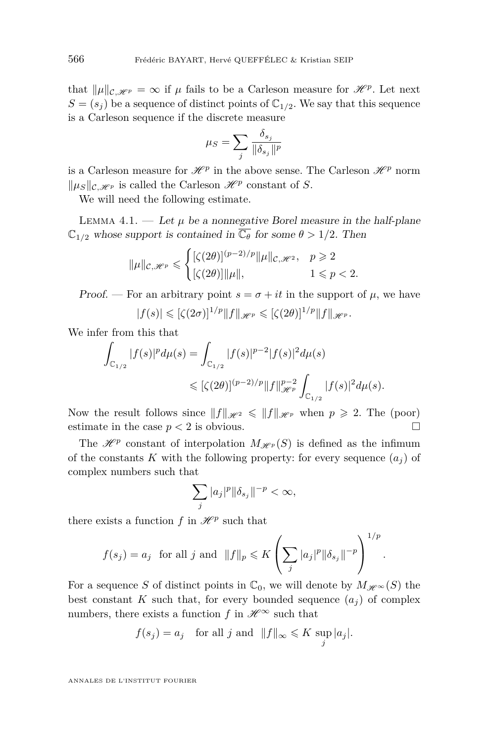that  $\|\mu\|_{\mathcal{C},\mathcal{H}^p} = \infty$  if  $\mu$  fails to be a Carleson measure for  $\mathcal{H}^p$ . Let next  $S = (s_i)$  be a sequence of distinct points of  $\mathbb{C}_{1/2}$ . We say that this sequence is a Carleson sequence if the discrete measure

$$
\mu_S = \sum_j \frac{\delta_{s_j}}{\|\delta_{s_j}\|^p}
$$

is a Carleson measure for  $\mathcal{H}^p$  in the above sense. The Carleson  $\mathcal{H}^p$  norm  $\|\mu_S\|_{\mathcal{C},\mathcal{H}^p}$  is called the Carleson  $\mathcal{H}^p$  constant of *S*.

We will need the following estimate.

<span id="page-16-0"></span>LEMMA 4.1. — Let  $\mu$  be a nonnegative Borel measure in the half-plane  $\mathbb{C}_{1/2}$  whose support is contained in  $\overline{\mathbb{C}_{\theta}}$  for some  $\theta > 1/2$ . Then

$$
\|\mu\|_{\mathcal{C},\mathscr{H}^p}\leqslant \begin{cases} [\zeta(2\theta)]^{(p-2)/p}\|\mu\|_{\mathcal{C},\mathscr{H}^2},&p\geqslant 2\\ [\zeta(2\theta)]\|\mu\|,&1\leqslant p<2.\end{cases}
$$

Proof. — For an arbitrary point  $s = \sigma + it$  in the support of  $\mu$ , we have  $|f(s)| \leqslant [(\zeta(2\sigma))^{1/p}||f||_{\mathscr{H}^p} \leqslant [(\zeta(2\theta))^{1/p}||f||_{\mathscr{H}^p}.$ 

We infer from this that

$$
\int_{\mathbb{C}_{1/2}} |f(s)|^p d\mu(s) = \int_{\mathbb{C}_{1/2}} |f(s)|^{p-2} |f(s)|^2 d\mu(s)
$$
  

$$
\leqslant [\zeta(2\theta)]^{(p-2)/p} \|f\|_{\mathscr{H}^p}^{p-2} \int_{\mathbb{C}_{1/2}} |f(s)|^2 d\mu(s).
$$

Now the result follows since  $||f||_{\mathscr{H}^2} \le ||f||_{\mathscr{H}^p}$  when  $p \ge 2$ . The (poor) estimate in the case  $p < 2$  is obvious.

The  $\mathscr{H}^p$  constant of interpolation  $M_{\mathscr{H}^p}(S)$  is defined as the infimum of the constants K with the following property: for every sequence  $(a_i)$  of complex numbers such that

$$
\sum_j |a_j|^p \|\delta_{s_j}\|^{-p} < \infty,
$$

there exists a function  $f$  in  $\mathscr{H}^p$  such that

$$
f(s_j) = a_j
$$
 for all j and  $||f||_p \le K \left( \sum_j |a_j|^p ||\delta_{s_j}||^{-p} \right)^{1/p}$ 

*.*

For a sequence *S* of distinct points in  $\mathbb{C}_0$ , we will denote by  $M_{\mathscr{H}^{\infty}}(S)$  the best constant *K* such that, for every bounded sequence  $(a_i)$  of complex numbers, there exists a function  $f$  in  $\mathscr{H}^{\infty}$  such that

$$
f(s_j) = a_j
$$
 for all j and  $||f||_{\infty} \le K \sup_j |a_j|$ .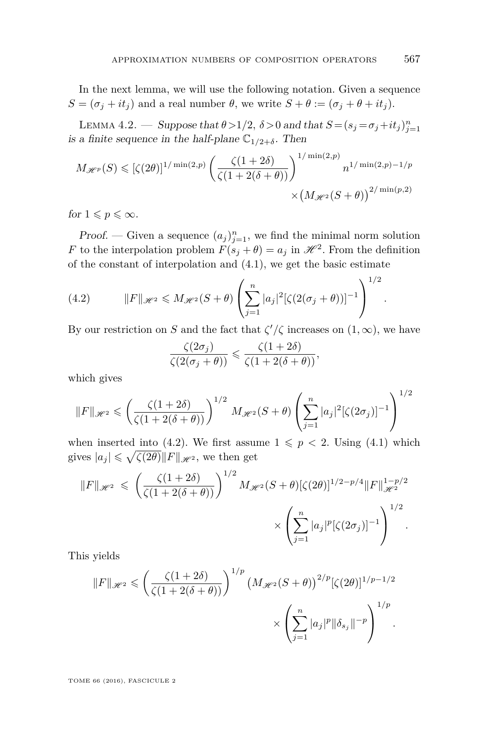In the next lemma, we will use the following notation. Given a sequence  $S = (\sigma_j + it_j)$  and a real number  $\theta$ , we write  $S + \theta := (\sigma_j + \theta + it_j)$ .

LEMMA 4.2. — Suppose that  $\theta > 1/2$ ,  $\delta > 0$  and that  $S = (s_j = \sigma_j + it_j)_{j=1}^n$ is a finite sequence in the half-plane  $\mathbb{C}_{1/2+\delta}$ . Then

$$
M_{\mathcal{H}^p}(S) \leqslant \left[\zeta(2\theta)\right]^{1/\min(2,p)} \left(\frac{\zeta(1+2\delta)}{\zeta(1+2(\delta+\theta))}\right)^{1/\min(2,p)} n^{1/\min(2,p)-1/p} \times \left(M_{\mathcal{H}^2}(S+\theta)\right)^{2/\min(p,2)}
$$

for  $1 \leqslant p \leqslant \infty$ .

Proof. — Given a sequence  $(a_j)_{j=1}^n$ , we find the minimal norm solution *F* to the interpolation problem  $F(s_j + \theta) = a_j$  in  $\mathcal{H}^2$ . From the definition of the constant of interpolation and [\(4.1\)](#page-15-0), we get the basic estimate

<span id="page-17-0"></span>(4.2) 
$$
||F||_{\mathcal{H}^2} \le M_{\mathcal{H}^2}(S+\theta) \left( \sum_{j=1}^n |a_j|^2 [\zeta(2(\sigma_j+\theta))]^{-1} \right)^{1/2}
$$

By our restriction on *S* and the fact that  $\zeta'/\zeta$  increases on  $(1,\infty)$ , we have

$$
\frac{\zeta(2\sigma_j)}{\zeta(2(\sigma_j+\theta))} \leq \frac{\zeta(1+2\delta)}{\zeta(1+2(\delta+\theta))},
$$

which gives

$$
||F||_{\mathscr{H}^2} \leqslant \left(\frac{\zeta(1+2\delta)}{\zeta(1+2(\delta+\theta))}\right)^{1/2} M_{\mathscr{H}^2}(S+\theta) \left(\sum_{j=1}^n |a_j|^2[\zeta(2\sigma_j)]^{-1}\right)^{1/2}
$$

when inserted into [\(4.2\)](#page-17-0). We first assume  $1 \leq p < 2$ . Using [\(4.1\)](#page-15-0) which gives  $|a_j| \leqslant \sqrt{\zeta(2\theta)} ||F||_{\mathscr{H}^2}$ , we then get

$$
||F||_{\mathscr{H}^2} \leqslant \left(\frac{\zeta(1+2\delta)}{\zeta(1+2(\delta+\theta))}\right)^{1/2} M_{\mathscr{H}^2}(S+\theta) [\zeta(2\theta)]^{1/2-p/4} ||F||_{\mathscr{H}^2}^{1-p/2} \times \left(\sum_{j=1}^n |a_j|^p [\zeta(2\sigma_j)]^{-1}\right)^{1/2}.
$$

This yields

$$
||F||_{\mathscr{H}^2} \leqslant \left(\frac{\zeta(1+2\delta)}{\zeta(1+2(\delta+\theta))}\right)^{1/p} \left(M_{\mathscr{H}^2}(S+\theta)\right)^{2/p}[\zeta(2\theta)]^{1/p-1/2}
$$

$$
\times \left(\sum_{j=1}^n |a_j|^p \|\delta_{s_j}\|^{-p}\right)^{1/p}.
$$

TOME 66 (2016), FASCICULE 2

*.*

1*/*2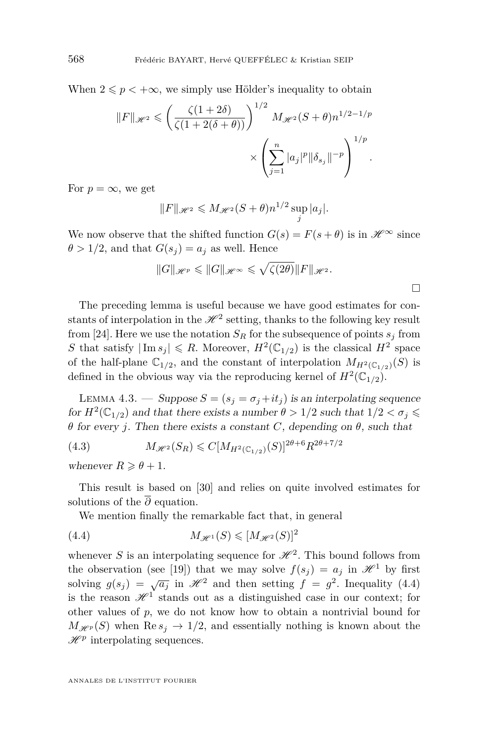When  $2 \leq p < +\infty$ , we simply use Hölder's inequality to obtain

$$
||F||_{\mathcal{H}^2} \leqslant \left(\frac{\zeta(1+2\delta)}{\zeta(1+2(\delta+\theta))}\right)^{1/2} M_{\mathcal{H}^2}(S+\theta)n^{1/2-1/p}
$$

$$
\times \left(\sum_{j=1}^n |a_j|^p ||\delta_{s_j}||^{-p}\right)^{1/p}.
$$

For  $p = \infty$ , we get

$$
||F||_{\mathcal{H}^2} \leqslant M_{\mathcal{H}^2}(S+\theta)n^{1/2}\sup_j|a_j|.
$$

We now observe that the shifted function  $G(s) = F(s + \theta)$  is in  $\mathcal{H}^{\infty}$  since  $\theta > 1/2$ , and that  $G(s_i) = a_i$  as well. Hence

$$
||G||_{\mathscr{H}^p} \leq ||G||_{\mathscr{H}^{\infty}} \leq \sqrt{\zeta(2\theta)}||F||_{\mathscr{H}^2}.
$$

 $\Box$ 

The preceding lemma is useful because we have good estimates for constants of interpolation in the  $\mathscr{H}^2$  setting, thanks to the following key result from [\[24\]](#page-37-0). Here we use the notation  $S_R$  for the subsequence of points  $s_j$  from *S* that satisfy  $|\text{Im } s_j| \le R$ . Moreover,  $H^2(\mathbb{C}_{1/2})$  is the classical  $H^2$  space of the half-plane  $\mathbb{C}_{1/2}$ , and the constant of interpolation  $M_{H^2(\mathbb{C}_{1/2})}(S)$  is defined in the obvious way via the reproducing kernel of  $H^2(\mathbb{C}_{1/2})$ .

<span id="page-18-1"></span>LEMMA 4.3. — Suppose  $S = (s_i = \sigma_i + it_j)$  is an interpolating sequence for  $H^2(\mathbb{C}_{1/2})$  and that there exists a number  $\theta > 1/2$  such that  $1/2 < \sigma_j \leq$ *θ* for every *j*. Then there exists a constant *C*, depending on *θ*, such that

(4.3) 
$$
M_{\mathcal{H}^2}(S_R) \leq C[M_{H^2(\mathbb{C}_{1/2})}(S)]^{2\theta+6} R^{2\theta+7/2}
$$

whenever  $R \geq \theta + 1$ .

This result is based on [\[30\]](#page-37-16) and relies on quite involved estimates for solutions of the  $\overline{\partial}$  equation.

<span id="page-18-0"></span>We mention finally the remarkable fact that, in general

(4.4) 
$$
M_{\mathscr{H}^1}(S) \leqslant [M_{\mathscr{H}^2}(S)]^2
$$

whenever *S* is an interpolating sequence for  $\mathcal{H}^2$ . This bound follows from the observation (see [\[19\]](#page-37-17)) that we may solve  $f(s_i) = a_i$  in  $\mathcal{H}^1$  by first solving  $g(s_j) = \sqrt{a_j}$  in  $\mathcal{H}^2$  and then setting  $f = g^2$ . Inequality [\(4.4\)](#page-18-0) is the reason  $\mathscr{H}^1$  stands out as a distinguished case in our context; for other values of *p*, we do not know how to obtain a nontrivial bound for  $M_{\mathscr{H}^p}(S)$  when  $\text{Re } s_j \to 1/2$ , and essentially nothing is known about the  $\mathscr{H}^p$  interpolating sequences.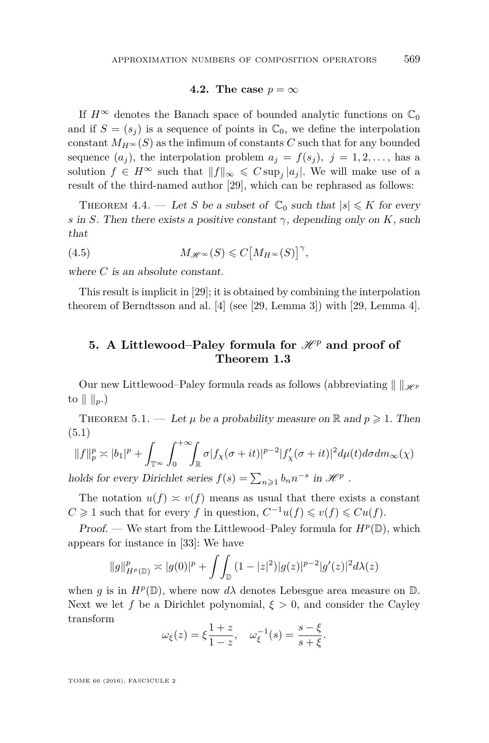#### **4.2.** The case  $p = \infty$

If  $H^{\infty}$  denotes the Banach space of bounded analytic functions on  $\mathbb{C}_0$ and if  $S = (s_i)$  is a sequence of points in  $\mathbb{C}_0$ , we define the interpolation constant  $M_H \propto (S)$  as the infimum of constants *C* such that for any bounded sequence  $(a_i)$ , the interpolation problem  $a_j = f(s_j)$ ,  $j = 1, 2, \ldots$ , has a solution  $f \in H^{\infty}$  such that  $||f||_{\infty} \leqslant C \sup_{j} |a_j|$ . We will make use of a result of the third-named author [\[29\]](#page-37-18), which can be rephrased as follows:

<span id="page-19-1"></span>THEOREM 4.4. — Let *S* be a subset of  $\mathbb{C}_0$  such that  $|s| \leq K$  for every *s* in *S*. Then there exists a positive constant  $\gamma$ , depending only on *K*, such that

<span id="page-19-2"></span>(4.5) 
$$
M_{\mathscr{H}^{\infty}}(S) \leqslant C\big[M_{H^{\infty}}(S)\big]^{\gamma},
$$

where *C* is an absolute constant.

This result is implicit in [\[29\]](#page-37-18); it is obtained by combining the interpolation theorem of Berndtsson and al. [\[4\]](#page-36-8) (see [\[29,](#page-37-18) Lemma 3]) with [\[29,](#page-37-18) Lemma 4].

# **5.** A Littlewood–Paley formula for  $\mathcal{H}^p$  and proof of **Theorem [1.3](#page-5-0)**

Our new Littlewood–Paley formula reads as follows (abbreviating  $\|\cdot\|_{\mathscr{H}_{P}}$ to  $\| \cdot \|_{p}$ .)

THEOREM 5.1. — Let  $\mu$  be a probability measure on  $\mathbb R$  and  $p \geq 1$ . Then (5.1)

<span id="page-19-0"></span>
$$
||f||_p^p \asymp |b_1|^p + \int_{\mathbb{T}^\infty} \int_0^{+\infty} \int_{\mathbb{R}} \sigma |f_\chi(\sigma + it)|^{p-2} |f'_\chi(\sigma + it)|^2 d\mu(t) d\sigma dm_\infty(\chi)
$$

holds for every Dirichlet series  $f(s) = \sum_{n \geq 1} b_n n^{-s}$  in  $\mathcal{H}^p$ .

The notation  $u(f) \approx v(f)$  means as usual that there exists a constant *C* ≥ 1 such that for every *f* in question,  $C^{-1}u(f) \leq v(f) \leq C u(f)$ .

Proof. — We start from the Littlewood–Paley formula for  $H^p(\mathbb{D})$ , which appears for instance in [\[33\]](#page-38-1): We have

$$
||g||_{H^p(\mathbb{D})}^p \asymp |g(0)|^p + \int_{\mathbb{D}} (1-|z|^2)|g(z)|^{p-2}|g'(z)|^2 d\lambda(z)
$$

when *g* is in  $H^p(\mathbb{D})$ , where now  $d\lambda$  denotes Lebesgue area measure on  $\mathbb{D}$ . Next we let *f* be a Dirichlet polynomial,  $\xi > 0$ , and consider the Cayley transform

$$
\omega_{\xi}(z) = \xi \frac{1+z}{1-z}, \quad \omega_{\xi}^{-1}(s) = \frac{s-\xi}{s+\xi}.
$$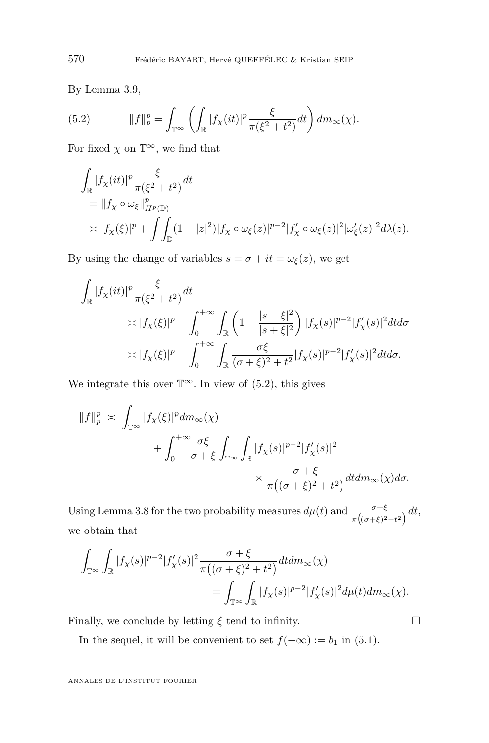By Lemma [3.9,](#page-15-1)

<span id="page-20-0"></span>(5.2) 
$$
||f||_p^p = \int_{\mathbb{T}^\infty} \left( \int_{\mathbb{R}} |f_\chi(it)|^p \frac{\xi}{\pi(\xi^2 + t^2)} dt \right) dm_\infty(\chi).
$$

For fixed  $\chi$  on  $\mathbb{T}^{\infty}$ , we find that

$$
\int_{\mathbb{R}} |f_{\chi}(it)|^p \frac{\xi}{\pi(\xi^2 + t^2)} dt
$$
\n
$$
= \|f_{\chi} \circ \omega_{\xi}\|_{H^p(\mathbb{D})}^p
$$
\n
$$
\asymp |f_{\chi}(\xi)|^p + \int_{\mathbb{D}} (1 - |z|^2) |f_{\chi} \circ \omega_{\xi}(z)|^{p-2} |f_{\chi}' \circ \omega_{\xi}(z)|^2 |\omega_{\xi}'(z)|^2 d\lambda(z).
$$

By using the change of variables  $s = \sigma + it = \omega_{\xi}(z)$ , we get

$$
\int_{\mathbb{R}} |f_{\chi}(it)|^p \frac{\xi}{\pi(\xi^2 + t^2)} dt
$$
\n
$$
\asymp |f_{\chi}(\xi)|^p + \int_0^{+\infty} \int_{\mathbb{R}} \left(1 - \frac{|s - \xi|^2}{|s + \xi|^2}\right) |f_{\chi}(s)|^{p-2} |f'_{\chi}(s)|^2 dt d\sigma
$$
\n
$$
\asymp |f_{\chi}(\xi)|^p + \int_0^{+\infty} \int_{\mathbb{R}} \frac{\sigma \xi}{(\sigma + \xi)^2 + t^2} |f_{\chi}(s)|^{p-2} |f'_{\chi}(s)|^2 dt d\sigma.
$$

We integrate this over  $\mathbb{T}^{\infty}$ . In view of [\(5.2\)](#page-20-0), this gives

$$
||f||_p^p \asymp \int_{\mathbb{T}^\infty} |f_\chi(\xi)|^p dm_\infty(\chi)
$$
  
+ 
$$
\int_0^{+\infty} \frac{\sigma \xi}{\sigma + \xi} \int_{\mathbb{T}^\infty} \int_{\mathbb{R}} |f_\chi(s)|^{p-2} |f'_\chi(s)|^2
$$
  

$$
\times \frac{\sigma + \xi}{\pi((\sigma + \xi)^2 + t^2)} dt dm_\infty(\chi) d\sigma.
$$

Using Lemma [3.8](#page-14-0) for the two probability measures  $d\mu(t)$  and  $\frac{\sigma+\xi}{\pi((\sigma+\xi)^2+t^2)}dt$ , we obtain that

$$
\begin{aligned} \int_{\mathbb{T}^\infty}\int_\mathbb{R}|f_\chi(s)|^{p-2}|f_\chi'(s)|^2\frac{\sigma+\xi}{\pi\big((\sigma+\xi)^2+t^2\big)}dtdm_\infty(\chi)\\ =\int_{\mathbb{T}^\infty}\int_\mathbb{R}|f_\chi(s)|^{p-2}|f_\chi'(s)|^2d\mu(t)dm_\infty(\chi). \end{aligned}
$$

Finally, we conclude by letting *ξ* tend to infinity.

In the sequel, it will be convenient to set  $f(+\infty) := b_1$  in [\(5.1\)](#page-19-0).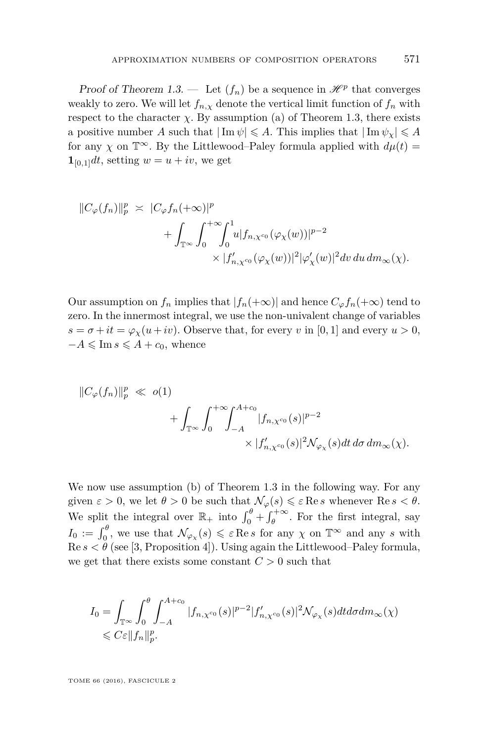Proof of Theorem [1.3.](#page-5-0) — Let  $(f_n)$  be a sequence in  $\mathcal{H}^p$  that converges weakly to zero. We will let  $f_{n,x}$  denote the vertical limit function of  $f_n$  with respect to the character  $\chi$ . By assumption (a) of Theorem [1.3,](#page-5-0) there exists a positive number *A* such that  $|\text{Im }\psi| \leq A$ . This implies that  $|\text{Im }\psi_x| \leq A$ for any *χ* on  $\mathbb{T}^{\infty}$ . By the Littlewood–Paley formula applied with  $d\mu(t)$  =  $\mathbf{1}_{[0,1]}dt$ , setting  $w = u + iv$ , we get

$$
||C_{\varphi}(f_n)||_p^p \times |C_{\varphi}f_n(+\infty)|^p
$$
  
+ 
$$
\int_{\mathbb{T}^{\infty}} \int_0^{+\infty} \int_0^1 u |f_{n,\chi^{c_0}}(\varphi_{\chi}(w))|^{p-2}
$$
  
 
$$
\times |f'_{n,\chi^{c_0}}(\varphi_{\chi}(w))|^2 |\varphi'_{\chi}(w)|^2 dv du dm_{\infty}(\chi).
$$

Our assumption on  $f_n$  implies that  $|f_n(+\infty)|$  and hence  $C_\varphi f_n(+\infty)$  tend to zero. In the innermost integral, we use the non-univalent change of variables  $s = \sigma + it = \varphi_{\chi}(u + iv)$ . Observe that, for every *v* in [0, 1] and every  $u > 0$ ,  $-A \leqslant \text{Im } s \leqslant A + c_0$ , whence

$$
||C_{\varphi}(f_n)||_p^p \ll o(1)
$$
  
+ 
$$
\int_{\mathbb{T}^{\infty}} \int_0^{+\infty} \!\! \int_{-A}^{A+c_0} |f_{n,\chi^{c_0}}(s)|^{p-2}
$$
  
 
$$
\times |f'_{n,\chi^{c_0}}(s)|^2 \mathcal{N}_{\varphi_{\chi}}(s) dt d\sigma dm_{\infty}(\chi).
$$

We now use assumption (b) of Theorem [1.3](#page-5-0) in the following way. For any given  $\varepsilon > 0$ , we let  $\theta > 0$  be such that  $\mathcal{N}_{\varphi}(s) \leqslant \varepsilon \operatorname{Re} s$  whenever  $\operatorname{Re} s < \theta$ . We split the integral over  $\mathbb{R}_+$  into  $\int_0^{\theta} + \int_{\theta}^{+\infty}$ . For the first integral, say  $I_0 := \int_0^\theta$ , we use that  $\mathcal{N}_{\varphi_\chi}(s) \leqslant \varepsilon \operatorname{Re} s$  for any  $\chi$  on  $\mathbb{T}^\infty$  and any *s* with  $\text{Re } s < \theta$  (see [\[3,](#page-36-1) Proposition 4]). Using again the Littlewood–Paley formula, we get that there exists some constant  $C > 0$  such that

$$
\begin{aligned} I_0 &= \int_{\mathbb{T}^\infty} \int_0^\theta \int_{-A}^{A+c_0} |f_{n,\chi^{c_0}}(s)|^{p-2} |f_{n,\chi^{c_0}}'(s)|^2 \mathcal{N}_{\varphi_\chi}(s) dt d\sigma dm_\infty(\chi) \\ &\leqslant C \varepsilon \|f_n\|_p^p. \end{aligned}
$$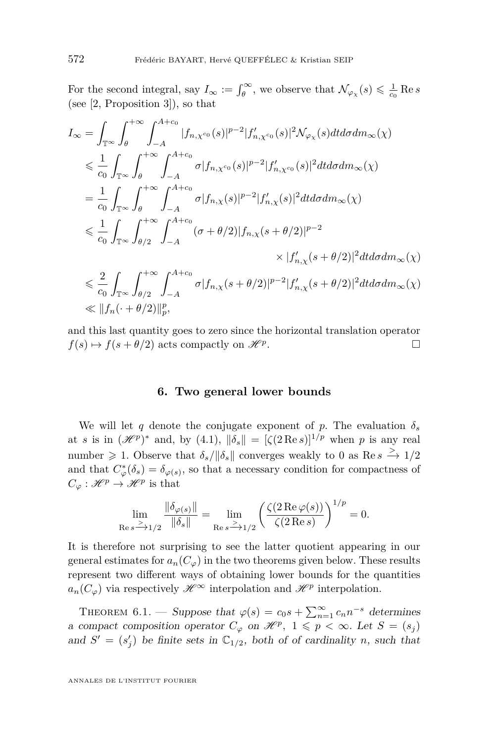For the second integral, say  $I_{\infty} := \int_{\theta}^{\infty}$ , we observe that  $\mathcal{N}_{\varphi_{\chi}}(s) \leq \frac{1}{c_0} \operatorname{Re} s$ (see [\[2,](#page-36-0) Proposition 3]), so that

$$
I_{\infty} = \int_{\mathbb{T}^{\infty}} \int_{\theta}^{+\infty} \int_{-A}^{A+c_0} |f_{n,\chi^{c_0}}(s)|^{p-2} |f'_{n,\chi^{c_0}}(s)|^2 \mathcal{N}_{\varphi_{\chi}}(s) dt d\sigma dm_{\infty}(\chi)
$$
  
\n
$$
\leq \frac{1}{c_0} \int_{\mathbb{T}^{\infty}} \int_{\theta}^{+\infty} \int_{-A}^{A+c_0} \sigma |f_{n,\chi^{c_0}}(s)|^{p-2} |f'_{n,\chi^{c_0}}(s)|^2 dt d\sigma dm_{\infty}(\chi)
$$
  
\n
$$
= \frac{1}{c_0} \int_{\mathbb{T}^{\infty}} \int_{\theta}^{+\infty} \int_{-A}^{A+c_0} \sigma |f_{n,\chi}(s)|^{p-2} |f'_{n,\chi}(s)|^2 dt d\sigma dm_{\infty}(\chi)
$$
  
\n
$$
\leq \frac{1}{c_0} \int_{\mathbb{T}^{\infty}} \int_{\theta/2}^{+\infty} \int_{-A}^{A+c_0} (\sigma + \theta/2) |f_{n,\chi}(s + \theta/2)|^{p-2} \times |f'_{n,\chi}(s + \theta/2)|^2 dt d\sigma dm_{\infty}(\chi)
$$
  
\n
$$
\leq \frac{2}{c_0} \int_{\mathbb{T}^{\infty}} \int_{\theta/2}^{+\infty} \int_{-A}^{A+c_0} \sigma |f_{n,\chi}(s + \theta/2)|^{p-2} |f'_{n,\chi}(s + \theta/2)|^2 dt d\sigma dm_{\infty}(\chi)
$$
  
\n
$$
\leq ||f_n(\cdot + \theta/2)||_p^p,
$$

and this last quantity goes to zero since the horizontal translation operator  $f(s) \mapsto f(s + \theta/2)$  acts compactly on  $\mathscr{H}^p$ . . В последните последните под извести в последните под извести в последните под извести в собита на селото на<br>Селото на селото на селото на селото на селото на селото на селото на селото на селото на селото на селото на

#### **6. Two general lower bounds**

We will let *q* denote the conjugate exponent of *p*. The evaluation  $\delta_s$ at *s* is in  $(\mathscr{H}^p)^*$  and, by [\(4.1\)](#page-15-0),  $\|\delta_s\| = [\zeta(2 \operatorname{Re} s)]^{1/p}$  when *p* is any real number  $\geq 1$ . Observe that  $\delta_s / ||\delta_s||$  converges weakly to 0 as Re  $s \stackrel{\text{>}}{\rightarrow} 1/2$ and that  $C^*_{\varphi}(\delta_s) = \delta_{\varphi(s)}$ , so that a necessary condition for compactness of  $C_{\varphi}: \mathscr{H}^p \to \mathscr{H}^p$  is that

$$
\lim_{\text{Re } s \xrightarrow{\ge} 1/2} \frac{\|\delta_{\varphi(s)}\|}{\|\delta_s\|} = \lim_{\text{Re } s \xrightarrow{\ge} 1/2} \left(\frac{\zeta(2\,\text{Re }\varphi(s))}{\zeta(2\,\text{Re } s)}\right)^{1/p} = 0.
$$

It is therefore not surprising to see the latter quotient appearing in our general estimates for  $a_n(C_\varphi)$  in the two theorems given below. These results represent two different ways of obtaining lower bounds for the quantities  $a_n(C_\varphi)$  via respectively  $\mathscr{H}^\infty$  interpolation and  $\mathscr{H}^p$  interpolation.

<span id="page-22-0"></span>THEOREM 6.1. — Suppose that  $\varphi(s) = c_0 s + \sum_{n=1}^{\infty} c_n n^{-s}$  determines a compact composition operator  $C_{\varphi}$  on  $\mathcal{H}^p$ ,  $1 \leqslant p < \infty$ . Let  $S = (s_j)$ and  $S' = (s'_j)$  be finite sets in  $\mathbb{C}_{1/2}$ , both of of cardinality *n*, such that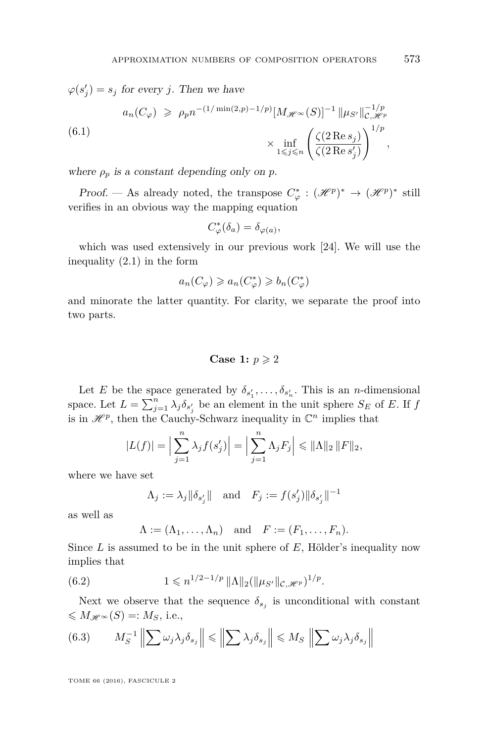$\varphi(s'_j) = s_j$  for every *j*. Then we have

<span id="page-23-2"></span>
$$
a_n(C_\varphi) \geqslant \rho_p n^{-(1/\min(2,p)-1/p)} [M_{\mathscr{H}^\infty}(S)]^{-1} \|\mu_{S'}\|_{\mathcal{C}, \mathscr{H}^p}^{-1/p}
$$
  
(6.1)  

$$
\times \inf_{1 \leqslant j \leqslant n} \left( \frac{\zeta(2 \operatorname{Re} s_j)}{\zeta(2 \operatorname{Re} s'_j)} \right)^{1/p},
$$

where  $\rho_p$  is a constant depending only on p.

*Proof.* — As already noted, the transpose  $C^*_{\varphi} : (\mathcal{H}^p)^* \to (\mathcal{H}^p)^*$  still verifies in an obvious way the mapping equation

$$
C^*_\varphi(\delta_a) = \delta_{\varphi(a)},
$$

which was used extensively in our previous work [\[24\]](#page-37-0). We will use the inequality [\(2.1\)](#page-7-0) in the form

$$
a_n(C_\varphi) \geqslant a_n(C_\varphi^*) \geqslant b_n(C_\varphi^*)
$$

and minorate the latter quantity. For clarity, we separate the proof into two parts.

#### **Case 1:**  $p \geqslant 2$

Let *E* be the space generated by  $\delta_{s'_1}, \ldots, \delta_{s'_n}$ . This is an *n*-dimensional space. Let  $L = \sum_{j=1}^{n} \lambda_j \delta_{s'_j}$  be an element in the unit sphere  $S_E$  of *E*. If *f* is in  $\mathcal{H}^p$ , then the Cauchy-Schwarz inequality in  $\mathbb{C}^n$  implies that

$$
|L(f)| = \Big|\sum_{j=1}^{n} \lambda_j f(s'_j)\Big| = \Big|\sum_{j=1}^{n} \Lambda_j F_j\Big| \leq \|\Lambda\|_2 \|F\|_2,
$$

where we have set

$$
\Lambda_j := \lambda_j ||\delta_{s'_j}||
$$
 and  $F_j := f(s'_j) ||\delta_{s'_j}||^{-1}$ 

as well as

<span id="page-23-1"></span>
$$
\Lambda := (\Lambda_1, \ldots, \Lambda_n) \quad \text{and} \quad F := (F_1, \ldots, F_n).
$$

Since *L* is assumed to be in the unit sphere of *E*, Hölder's inequality now implies that

(6.2) 
$$
1 \leq n^{1/2 - 1/p} \|\Lambda\|_2 (\|\mu_{S'}\|_{\mathcal{C}, \mathcal{H}^p})^{1/p}.
$$

Next we observe that the sequence  $\delta_{s_j}$  is unconditional with constant  $\leqslant M_{\mathscr{H}^{\infty}}(S) =: M_S$ , i.e.,

<span id="page-23-0"></span>(6.3) 
$$
M_S^{-1}\left\|\sum \omega_j \lambda_j \delta_{s_j}\right\| \le \left\|\sum \lambda_j \delta_{s_j}\right\| \le M_S\left\|\sum \omega_j \lambda_j \delta_{s_j}\right\|
$$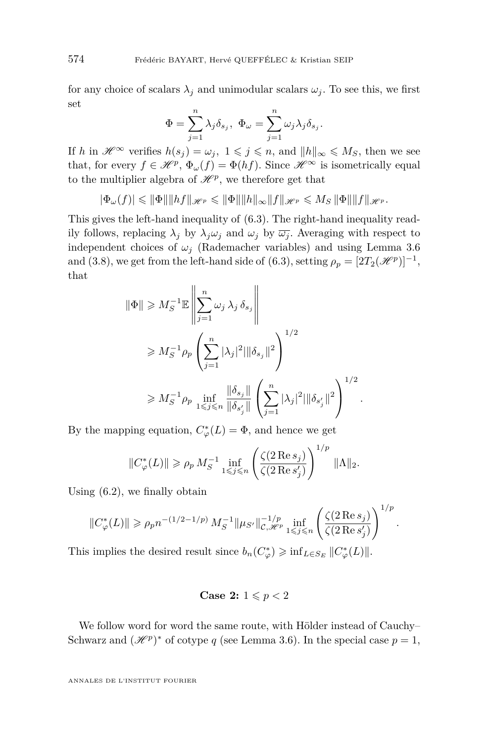for any choice of scalars  $\lambda_j$  and unimodular scalars  $\omega_j$ . To see this, we first set

$$
\Phi=\sum_{j=1}^n\lambda_j\delta_{s_j},\ \Phi_\omega=\sum_{j=1}^n\omega_j\lambda_j\delta_{s_j}.
$$

If *h* in  $\mathscr{H}^{\infty}$  verifies  $h(s_i) = \omega_i$ ,  $1 \leq j \leq n$ , and  $||h||_{\infty} \leq M_S$ , then we see that, for every  $f \in \mathcal{H}^p$ ,  $\Phi_\omega(f) = \Phi(hf)$ . Since  $\mathcal{H}^\infty$  is isometrically equal to the multiplier algebra of  $\mathcal{H}^p$ , we therefore get that

$$
|\Phi_{\omega}(f)| \leqslant ||\Phi|| ||hf||_{\mathscr{H}^p} \leqslant ||\Phi|| ||h||_{\infty} ||f||_{\mathscr{H}^p} \leqslant M_S ||\Phi|| ||f||_{\mathscr{H}^p}.
$$

This gives the left-hand inequality of [\(6.3\)](#page-23-0). The right-hand inequality readily follows, replacing  $\lambda_j$  by  $\lambda_j \omega_j$  and  $\omega_j$  by  $\overline{\omega_j}$ . Averaging with respect to independent choices of  $\omega_j$  (Rademacher variables) and using Lemma [3.6](#page-13-0) and [\(3.8\)](#page-13-1), we get from the left-hand side of [\(6.3\)](#page-23-0), setting  $\rho_p = [2T_2(\mathcal{H}^p)]^{-1}$ , that

$$
\|\Phi\| \ge M_S^{-1} \mathbb{E} \left\| \sum_{j=1}^n \omega_j \lambda_j \delta_{s_j} \right\|
$$
  
\n
$$
\ge M_S^{-1} \rho_p \left( \sum_{j=1}^n |\lambda_j|^2 ||\delta_{s_j}||^2 \right)^{1/2}
$$
  
\n
$$
\ge M_S^{-1} \rho_p \inf_{1 \le j \le n} \frac{\|\delta_{s_j}||}{\|\delta_{s'_j}||} \left( \sum_{j=1}^n |\lambda_j|^2 ||\delta_{s'_j}||^2 \right)^{1/2}.
$$

By the mapping equation,  $C^*_{\varphi}(L) = \Phi$ , and hence we get

$$
||C^*_{\varphi}(L)|| \ge \rho_p M_S^{-1} \inf_{1 \le j \le n} \left( \frac{\zeta(2 \operatorname{Re} s_j)}{\zeta(2 \operatorname{Re} s'_j)} \right)^{1/p} ||\Lambda||_2.
$$

Using [\(6.2\)](#page-23-1), we finally obtain

$$
||C^*_{\varphi}(L)|| \ge \rho_p n^{-(1/2 - 1/p)} M_S^{-1} ||\mu_{S'}||_{\mathcal{C}, \mathcal{H}^p}^{-1/p} \inf_{1 \le j \le n} \left( \frac{\zeta(2 \operatorname{Re} s_j)}{\zeta(2 \operatorname{Re} s'_j)} \right)^{1/p}.
$$

This implies the desired result since  $b_n(C^*_{\varphi}) \geq \inf_{L \in S_E} ||C^*_{\varphi}(L)||$ .

Case 2: 
$$
1 \leqslant p < 2
$$

We follow word for word the same route, with Hölder instead of Cauchy– Schwarz and  $(\mathcal{H}^p)^*$  of cotype *q* (see Lemma [3.6\)](#page-13-0). In the special case  $p = 1$ ,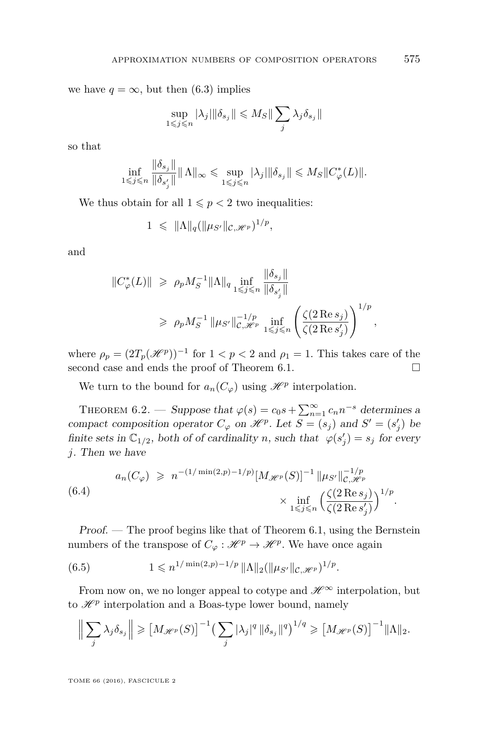we have  $q = \infty$ , but then [\(6.3\)](#page-23-0) implies

$$
\sup_{1\leqslant j\leqslant n}|\lambda_j|\|\delta_{s_j}\|\leqslant M_S\|\sum_j\lambda_j\delta_{s_j}\|
$$

so that

$$
\inf_{1 \leq j \leq n} \frac{\|\delta_{s_j}\|}{\|\delta_{s'_j}\|} \|\Lambda\|_{\infty} \leq \sup_{1 \leq j \leq n} |\lambda_j| \|\delta_{s_j}\| \leq M_S \|C^*_{\varphi}(L)\|.
$$

We thus obtain for all  $1 \leq p < 2$  two inequalities:

$$
1 \leq \|\Lambda\|_q (\|\mu_{S'}\|_{\mathcal{C},\mathscr{H}^p})^{1/p},
$$

and

$$
||C^*_{\varphi}(L)|| \ge \rho_p M_S^{-1} ||\Lambda||_q \inf_{1 \le j \le n} \frac{||\delta_{s_j}||}{||\delta_{s'_j}||}
$$
  

$$
\ge \rho_p M_S^{-1} ||\mu_{S'}||_{\mathcal{C}, \mathcal{H}^p}^{-1/p} \inf_{1 \le j \le n} \left(\frac{\zeta(2 \operatorname{Re} s_j)}{\zeta(2 \operatorname{Re} s'_j)}\right)^{1/p},
$$

where  $\rho_p = (2T_p(\mathscr{H}^p))^{-1}$  for  $1 < p < 2$  and  $\rho_1 = 1$ . This takes care of the second case and ends the proof of Theorem [6.1.](#page-22-0)

We turn to the bound for  $a_n(C_\varphi)$  using  $\mathscr{H}^p$  interpolation.

<span id="page-25-1"></span>THEOREM 6.2. — Suppose that  $\varphi(s) = c_0 s + \sum_{n=1}^{\infty} c_n n^{-s}$  determines a compact composition operator  $C_{\varphi}$  on  $\mathcal{H}^p$ . Let  $S = (s_j)$  and  $S' = (s'_j)$  be finite sets in  $\mathbb{C}_{1/2}$ , both of of cardinality *n*, such that  $\varphi(s'_j) = s_j$  for every *j*. Then we have

$$
a_n(C_{\varphi}) \geqslant n^{-(1/\min(2,p)-1/p)} [M_{\mathscr{H}^p}(S)]^{-1} \|\mu_{S'}\|_{\mathcal{C}, \mathscr{H}^p}^{-1/p}
$$
  

$$
\times \inf_{1 \leqslant j \leqslant n} \left(\frac{\zeta(2 \operatorname{Re} s_j)}{\zeta(2 \operatorname{Re} s'_j)}\right)^{1/p}.
$$

Proof. — The proof begins like that of Theorem [6.1,](#page-22-0) using the Bernstein numbers of the transpose of  $C_{\varphi}: \mathcal{H}^p \to \mathcal{H}^p$ . We have once again

<span id="page-25-0"></span>(6.5) 
$$
1 \leqslant n^{1/\min(2,p)-1/p} \|\Lambda\|_2 (\|\mu_{S'}\|_{\mathcal{C},\mathcal{H}^p})^{1/p}.
$$

From now on, we no longer appeal to cotype and  $\mathscr{H}^{\infty}$  interpolation, but to  $\mathcal{H}^p$  interpolation and a Boas-type lower bound, namely

$$
\Big\|\sum_{j}\lambda_j\delta_{s_j}\Big\|\geqslant\big[M_{\mathscr{H}^p}(S)\big]^{-1}\big(\sum_{j}|\lambda_j|^q\|\delta_{s_j}\|^q\big)^{1/q}\geqslant\big[M_{\mathscr{H}^p}(S)\big]^{-1}\|\Lambda\|_2.
$$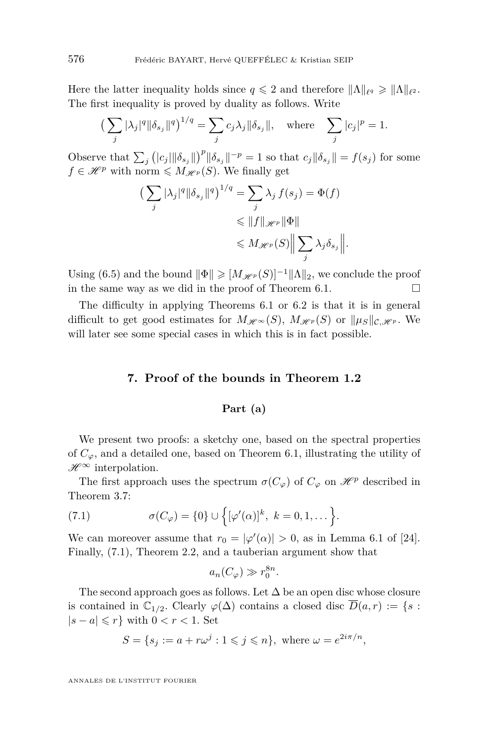Here the latter inequality holds since  $q \leq 2$  and therefore  $\|\Lambda\|_{\ell^q} \geq \|\Lambda\|_{\ell^2}$ . The first inequality is proved by duality as follows. Write

$$
\left(\sum_{j} |\lambda_j|^q \|\delta_{s_j}\|^q\right)^{1/q} = \sum_{j} c_j \lambda_j \|\delta_{s_j}\|, \quad \text{where} \quad \sum_{j} |c_j|^p = 1.
$$

Observe that  $\sum_{j} (|c_j| ||\delta_{s_j}||)^p ||\delta_{s_j}||^{-p} = 1$  so that  $c_j ||\delta_{s_j}|| = f(s_j)$  for some  $f \in \mathscr{H}^p$  with norm  $\leq M_{\mathscr{H}^p}(S)$ . We finally get

$$
\left(\sum_{j} |\lambda_j|^q \|\delta_{s_j}\|^q\right)^{1/q} = \sum_{j} \lambda_j f(s_j) = \Phi(f)
$$
  

$$
\leq \|f\|_{\mathscr{H}^p} \|\Phi\|
$$
  

$$
\leq M_{\mathscr{H}^p}(S) \Big\| \sum_{j} \lambda_j \delta_{s_j} \Big\|.
$$

Using [\(6.5\)](#page-25-0) and the bound  $\|\Phi\| \geq M_{\mathscr{H}^p}(S)^{-1}\|\Lambda\|_2$ , we conclude the proof in the same way as we did in the proof of Theorem [6.1.](#page-22-0)  $\Box$ 

The difficulty in applying Theorems [6.1](#page-22-0) or [6.2](#page-25-1) is that it is in general difficult to get good estimates for  $M_{\mathscr{H}^{\infty}}(S)$ ,  $M_{\mathscr{H}^p}(S)$  or  $\|\mu_S\|_{\mathcal{C},\mathscr{H}^p}$ . We will later see some special cases in which this is in fact possible.

#### **7. Proof of the bounds in Theorem [1.2](#page-4-0)**

#### **Part (a)**

We present two proofs: a sketchy one, based on the spectral properties of  $C_{\varphi}$ , and a detailed one, based on Theorem [6.1,](#page-22-0) illustrating the utility of  $\mathscr{H}^\infty$  interpolation.

The first approach uses the spectrum  $\sigma(C_{\varphi})$  of  $C_{\varphi}$  on  $\mathscr{H}^p$  described in Theorem [3.7:](#page-13-2)

<span id="page-26-0"></span>(7.1) 
$$
\sigma(C_{\varphi}) = \{0\} \cup \left\{ [\varphi'(\alpha)]^k, \ k = 0, 1, \dots \right\}.
$$

We can moreover assume that  $r_0 = |\varphi'(\alpha)| > 0$ , as in Lemma 6.1 of [\[24\]](#page-37-0). Finally, [\(7.1\)](#page-26-0), Theorem [2.2,](#page-8-1) and a tauberian argument show that

$$
a_n(C_\varphi) \gg r_0^{8n}.
$$

The second approach goes as follows. Let  $\Delta$  be an open disc whose closure is contained in  $\mathbb{C}_{1/2}$ . Clearly  $\varphi(\Delta)$  contains a closed disc  $\overline{D}(a,r) := \{s :$  $|s - a| \leqslant r$ } with  $0 < r < 1$ . Set

$$
S = \{ s_j := a + r\omega^j : 1 \leq j \leq n \}, \text{ where } \omega = e^{2i\pi/n},
$$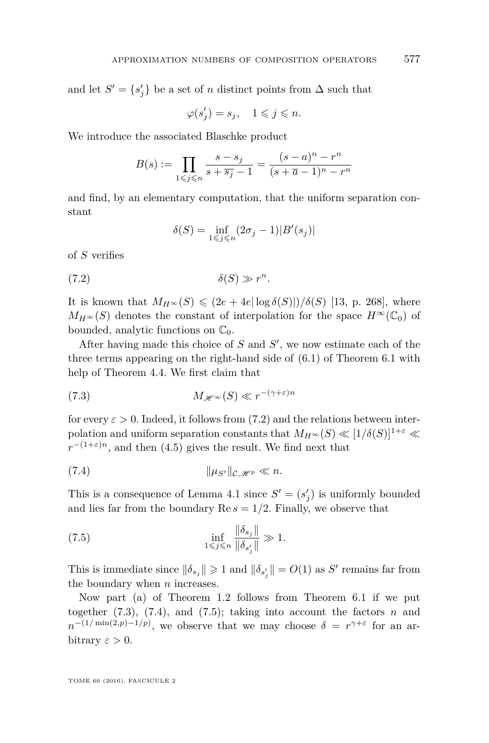and let  $S' = \{s'_j\}$  be a set of *n* distinct points from  $\Delta$  such that

$$
\varphi(s'_j)=s_j,\quad 1\leqslant j\leqslant n.
$$

We introduce the associated Blaschke product

$$
B(s):=\prod_{1\leqslant j\leqslant n}\frac{s-s_j}{s+\overline{s_j}-1}=\frac{(s-a)^n-r^n}{(s+\overline{a}-1)^n-r^n}
$$

and find, by an elementary computation, that the uniform separation constant

$$
\delta(S) = \inf_{1 \leq j \leq n} (2\sigma_j - 1)|B'(s_j)|
$$

of *S* verifies

$$
(7.2) \t\t\t \delta(S) \gg r^n
$$

It is known that  $M_{H^\infty}(S) \leq (2e + 4e|\log \delta(S)|)/\delta(S)$  [\[13,](#page-37-19) p. 268], where  $M_{H^{\infty}}(S)$  denotes the constant of interpolation for the space  $H^{\infty}(\mathbb{C}_{0})$  of bounded, analytic functions on  $\mathbb{C}_0$ .

<span id="page-27-0"></span>*.*

After having made this choice of  $S$  and  $S'$ , we now estimate each of the three terms appearing on the right-hand side of [\(6.1\)](#page-23-2) of Theorem [6.1](#page-22-0) with help of Theorem [4.4.](#page-19-1) We first claim that

<span id="page-27-1"></span>(7.3) 
$$
M_{\mathscr{H}^{\infty}}(S) \ll r^{-(\gamma + \varepsilon)n}
$$

for every  $\varepsilon > 0$ . Indeed, it follows from [\(7.2\)](#page-27-0) and the relations between interpolation and uniform separation constants that  $M_{H^\infty}(S) \ll [1/\delta(S)]^{1+\varepsilon} \ll$  $r^{-(1+\varepsilon)n}$ , and then [\(4.5\)](#page-19-2) gives the result. We find next that

<span id="page-27-2"></span>(7.4) k*µS*<sup>0</sup>k<sup>C</sup>*,*<sup>H</sup> *<sup>p</sup> n.*

This is a consequence of Lemma [4.1](#page-16-0) since  $S' = (s'_j)$  is uniformly bounded and lies far from the boundary  $\text{Re } s = 1/2$ . Finally, we observe that

<span id="page-27-3"></span>(7.5) 
$$
\inf_{1 \leq j \leq n} \frac{\|\delta_{s_j}\|}{\|\delta_{s'_j}\|} \gg 1.
$$

This is immediate since  $\|\delta_{s_j}\| \geq 1$  and  $\|\delta_{s'_j}\| = O(1)$  as *S'* remains far from the boundary when *n* increases.

Now part (a) of Theorem [1.2](#page-4-0) follows from Theorem [6.1](#page-22-0) if we put together  $(7.3)$ ,  $(7.4)$ , and  $(7.5)$ ; taking into account the factors *n* and  $n^{-(1/\min(2,p)-1/p)}$ , we observe that we may choose  $\delta = r^{\gamma+\varepsilon}$  for an arbitrary  $\varepsilon > 0$ .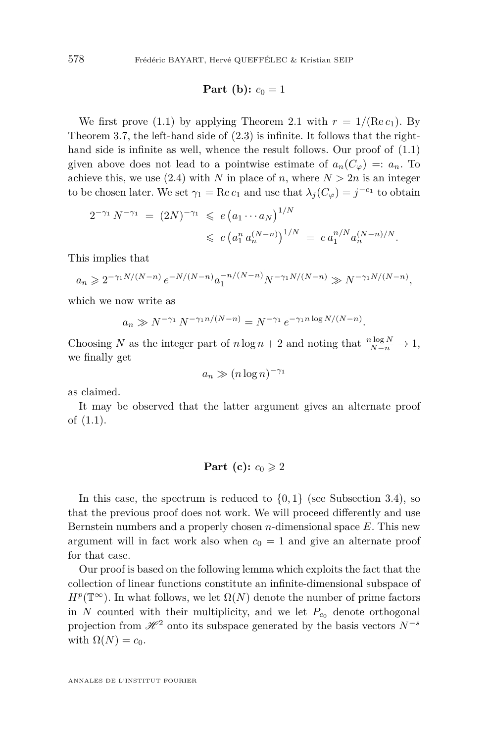### **Part** (**b**):  $c_0 = 1$

We first prove [\(1.1\)](#page-4-1) by applying Theorem [2.1](#page-8-2) with  $r = 1/(\text{Re } c_1)$ . By Theorem [3.7,](#page-13-2) the left-hand side of [\(2.3\)](#page-8-3) is infinite. It follows that the righthand side is infinite as well, whence the result follows. Our proof of  $(1.1)$ given above does not lead to a pointwise estimate of  $a_n(C_\varphi) =: a_n$ . To achieve this, we use [\(2.4\)](#page-8-4) with *N* in place of *n*, where  $N > 2n$  is an integer to be chosen later. We set  $\gamma_1 = \text{Re } c_1$  and use that  $\lambda_j(C_\varphi) = j^{-c_1}$  to obtain

$$
2^{-\gamma_1} N^{-\gamma_1} = (2N)^{-\gamma_1} \leqslant e \left( a_1 \cdots a_N \right)^{1/N}
$$
  
\$\leqslant e \left( a\_1^n a\_n^{(N-n)} \right)^{1/N} = e a\_1^{n/N} a\_n^{(N-n)/N}.

This implies that

 $a_n \geqslant 2^{-\gamma_1 N/(N-n)} e^{-N/(N-n)} a_1^{-n/(N-n)} N^{-\gamma_1 N/(N-n)} \gg N^{-\gamma_1 N/(N-n)},$ 

which we now write as

$$
a_n \gg N^{-\gamma_1} N^{-\gamma_1 n/(N-n)} = N^{-\gamma_1} e^{-\gamma_1 n \log N/(N-n)}
$$

*.*

Choosing *N* as the integer part of *n* log *n* + 2 and noting that  $\frac{n \log N}{N-n} \to 1$ , we finally get

$$
a_n \gg (n \log n)^{-\gamma_1}
$$

as claimed.

It may be observed that the latter argument gives an alternate proof of [\(1.1\)](#page-4-1).

#### **Part** (c):  $c_0 \geqslant 2$

In this case, the spectrum is reduced to  $\{0, 1\}$  (see Subsection [3.4\)](#page-13-3), so that the previous proof does not work. We will proceed differently and use Bernstein numbers and a properly chosen *n*-dimensional space *E*. This new argument will in fact work also when  $c_0 = 1$  and give an alternate proof for that case.

Our proof is based on the following lemma which exploits the fact that the collection of linear functions constitute an infinite-dimensional subspace of  $H^p(\mathbb{T}^\infty)$ . In what follows, we let  $\Omega(N)$  denote the number of prime factors in *N* counted with their multiplicity, and we let  $P_{c_0}$  denote orthogonal projection from  $\mathcal{H}^2$  onto its subspace generated by the basis vectors  $N^{-s}$ with  $\Omega(N) = c_0$ .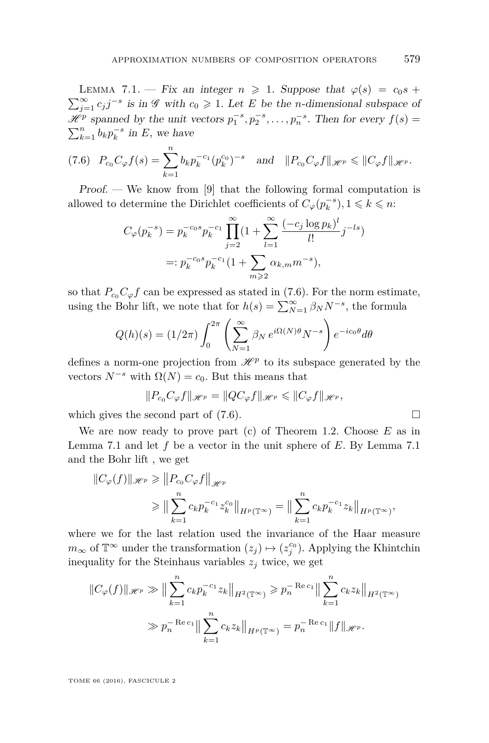<span id="page-29-1"></span>LEMMA 7.1. — Fix an integer  $n \geq 1$ . Suppose that  $\varphi(s) = c_0 s +$  $\sum_{j=1}^{\infty} c_j j^{-s}$  is in  $\mathscr G$  with  $c_0 \geq 1$ . Let *E* be the *n*-dimensional subspace of  $\mathscr{H}^p$  spanned by the unit vectors  $p_1^{-s}, p_2^{-s}, \ldots, p_n^{-s}$ . Then for every  $f(s) =$  $\sum_{k=1}^{n} b_k p_k^{-s}$  in *E*, we have

<span id="page-29-0"></span>
$$
(7.6) \quad P_{c_0}C_{\varphi}f(s) = \sum_{k=1}^{n} b_k p_k^{-c_1} (p_k^{c_0})^{-s} \quad \text{and} \quad ||P_{c_0}C_{\varphi}f||_{\mathscr{H}^p} \leq ||C_{\varphi}f||_{\mathscr{H}^p}.
$$

Proof. — We know from [\[9\]](#page-36-2) that the following formal computation is allowed to determine the Dirichlet coefficients of  $C_{\varphi}(p_k^{-s}), 1 \leqslant k \leqslant n$ :

$$
C_{\varphi}(p_k^{-s}) = p_k^{-c_0 s} p_k^{-c_1} \prod_{j=2}^{\infty} (1 + \sum_{l=1}^{\infty} \frac{(-c_j \log p_k)^l}{l!} j^{-ls})
$$
  
=:  $p_k^{-c_0 s} p_k^{-c_1} (1 + \sum_{m \ge 2} \alpha_{k,m} m^{-s}),$ 

so that  $P_{c_0}C_{\varphi}f$  can be expressed as stated in [\(7.6\)](#page-29-0). For the norm estimate, using the Bohr lift, we note that for  $h(s) = \sum_{N=1}^{\infty} \beta_N N^{-s}$ , the formula

$$
Q(h)(s) = (1/2\pi) \int_0^{2\pi} \left( \sum_{N=1}^\infty \beta_N e^{i\Omega(N)\theta} N^{-s} \right) e^{-ic_0\theta} d\theta
$$

defines a norm-one projection from  $\mathcal{H}^p$  to its subspace generated by the vectors  $N^{-s}$  with  $\Omega(N) = c_0$ . But this means that

$$
||P_{c_0}C_{\varphi}f||_{\mathscr{H}^p}=||QC_{\varphi}f||_{\mathscr{H}^p}\leq ||C_{\varphi}f||_{\mathscr{H}^p},
$$

which gives the second part of  $(7.6)$ .

We are now ready to prove part (c) of Theorem [1.2.](#page-4-0) Choose *E* as in Lemma [7.1](#page-29-1) and let *f* be a vector in the unit sphere of *E*. By Lemma [7.1](#page-29-1) and the Bohr lift , we get

$$
||C_{\varphi}(f)||_{\mathscr{H}^{p}} \geq ||P_{c_{0}}C_{\varphi}f||_{\mathscr{H}^{p}}\geq ||\sum_{k=1}^{n} c_{k}p_{k}^{-c_{1}}z_{k}^{c_{0}}||_{H^{p}(\mathbb{T}^{\infty})} = ||\sum_{k=1}^{n} c_{k}p_{k}^{-c_{1}}z_{k}||_{H^{p}(\mathbb{T}^{\infty})},
$$

where we for the last relation used the invariance of the Haar measure  $m_{\infty}$  of  $\mathbb{T}^{\infty}$  under the transformation  $(z_j) \mapsto (z_j^{c_0})$ . Applying the Khintchin inequality for the Steinhaus variables  $z_j$  twice, we get

$$
||C_{\varphi}(f)||_{\mathscr{H}^p} \gg || \sum_{k=1}^n c_k p_k^{-c_1} z_k ||_{H^2(\mathbb{T}^\infty)} \geqslant p_n^{-\operatorname{Re} c_1} || \sum_{k=1}^n c_k z_k ||_{H^2(\mathbb{T}^\infty)}
$$
  

$$
\gg p_n^{-\operatorname{Re} c_1} || \sum_{k=1}^n c_k z_k ||_{H^p(\mathbb{T}^\infty)} = p_n^{-\operatorname{Re} c_1} ||f||_{\mathscr{H}^p}.
$$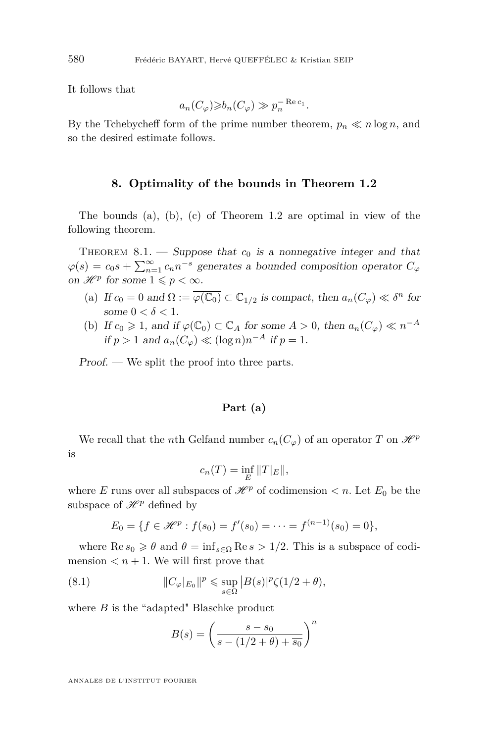It follows that

$$
a_n(C_\varphi) \geq b_n(C_\varphi) \gg p_n^{-\operatorname{Re} c_1}.
$$

By the Tchebycheff form of the prime number theorem,  $p_n \ll n \log n$ , and so the desired estimate follows.

#### **8. Optimality of the bounds in Theorem [1.2](#page-4-0)**

The bounds (a), (b), (c) of Theorem [1.2](#page-4-0) are optimal in view of the following theorem.

THEOREM  $8.1.$  – Suppose that  $c_0$  is a nonnegative integer and that  $\varphi(s) = c_0 s + \sum_{n=1}^{\infty} c_n n^{-s}$  generates a bounded composition operator  $C_{\varphi}$ on  $\mathscr{H}^p$  for some  $1 \leqslant p < \infty$ .

- (a) If  $c_0 = 0$  and  $\Omega := \overline{\varphi(\mathbb{C}_0)} \subset \mathbb{C}_{1/2}$  is compact, then  $a_n(C_\varphi) \ll \delta^n$  for some  $0 < \delta < 1$ .
- (b) If  $c_0 \geq 1$ , and if  $\varphi(\mathbb{C}_0) \subset \mathbb{C}_A$  for some  $A > 0$ , then  $a_n(C_{\varphi}) \ll n^{-A}$ if  $p > 1$  and  $a_n(C_\varphi) \ll (\log n)n^{-A}$  if  $p = 1$ .

Proof. — We split the proof into three parts.

#### **Part (a)**

We recall that the *n*th Gelfand number  $c_n(C_\varphi)$  of an operator *T* on  $\mathcal{H}^p$ is

$$
c_n(T) = \inf_E ||T|_E||,
$$

where *E* runs over all subspaces of  $\mathcal{H}^p$  of codimension  $\lt n$ . Let  $E_0$  be the subspace of  $\mathcal{H}^p$  defined by

$$
E_0 = \{ f \in \mathcal{H}^p : f(s_0) = f'(s_0) = \cdots = f^{(n-1)}(s_0) = 0 \},
$$

where  $\text{Re } s_0 \geq \theta$  and  $\theta = \inf_{s \in \Omega} \text{Re } s > 1/2$ . This is a subspace of codimension  $\langle n+1$ . We will first prove that

(8.1) 
$$
||C_{\varphi}|_{E_0}||^p \leq \sup_{s \in \Omega} |B(s)|^p \zeta(1/2 + \theta),
$$

where *B* is the "adapted" Blaschke product

<span id="page-30-0"></span>
$$
B(s) = \left(\frac{s - s_0}{s - (1/2 + \theta) + \overline{s_0}}\right)^n
$$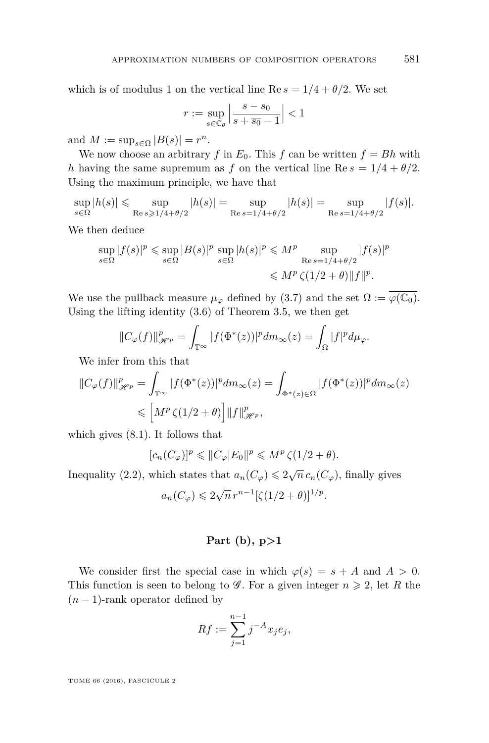which is of modulus 1 on the vertical line Re  $s = 1/4 + \theta/2$ . We set

$$
r:=\sup_{s\in\mathbb{C}_{\theta}}\left|\frac{s-s_0}{s+\overline{s_0}-1}\right|<1
$$

and  $M := \sup_{s \in \Omega} |B(s)| = r^n$ .

We now choose an arbitrary *f* in  $E_0$ . This *f* can be written  $f = Bh$  with *h* having the same supremum as *f* on the vertical line Re  $s = 1/4 + \theta/2$ . Using the maximum principle, we have that

 $\sup_{s \in Ω} |h(s)| \leqslant \sup_{\text{Re } s \geqslant 1/4}$  $\text{Re } s \geqslant 1/4 + \theta/2$  $|h(s)| = \sup$ Re *s*=1*/*4+*θ/*2  $|h(s)| = \sup$ Re *s*=1*/*4+*θ/*2  $|f(s)|$ .

We then deduce

$$
\sup_{s \in \Omega} |f(s)|^p \le \sup_{s \in \Omega} |B(s)|^p \sup_{s \in \Omega} |h(s)|^p \le M^p \sup_{\text{Re } s = 1/4 + \theta/2} |f(s)|^p
$$
  
\$\le M^p \zeta(1/2 + \theta) ||f||^p\$.

We use the pullback measure  $\mu_{\varphi}$  defined by [\(3.7\)](#page-12-0) and the set  $\Omega := \varphi(\mathbb{C}_0)$ . Using the lifting identity [\(3.6\)](#page-12-1) of Theorem [3.5,](#page-12-2) we then get

$$
||C_{\varphi}(f)||_{\mathscr{H}^p}^p = \int_{\mathbb{T}^{\infty}} |f(\Phi^*(z))|^p dm_{\infty}(z) = \int_{\Omega} |f|^p d\mu_{\varphi}.
$$

We infer from this that

$$
||C_{\varphi}(f)||_{\mathscr{H}^p}^p = \int_{\mathbb{T}^{\infty}} |f(\Phi^*(z))|^p dm_{\infty}(z) = \int_{\Phi^*(z) \in \Omega} |f(\Phi^*(z))|^p dm_{\infty}(z)
$$
  

$$
\leqslant \left[ M^p \zeta(1/2 + \theta) \right] ||f||_{\mathscr{H}^p}^p,
$$

which gives [\(8.1\)](#page-30-0). It follows that

 $[C_n(C_\varphi)]^p \leq C_p |E_0|^p \leq M^p \zeta(1/2 + \theta).$ 

Inequality [\(2.2\)](#page-7-1), which states that  $a_n(C_\varphi) \leq 2\sqrt{n} c_n(C_\varphi)$ , finally gives √

$$
a_n(C_\varphi) \leqslant 2\sqrt{n} \, r^{n-1} \left[ \zeta(1/2 + \theta) \right]^{1/p}.
$$

#### **Part (b), p>1**

We consider first the special case in which  $\varphi(s) = s + A$  and  $A > 0$ . This function is seen to belong to  $\mathscr G$ . For a given integer  $n \geq 2$ , let R the  $(n-1)$ -rank operator defined by

$$
Rf := \sum_{j=1}^{n-1} j^{-A} x_j e_j,
$$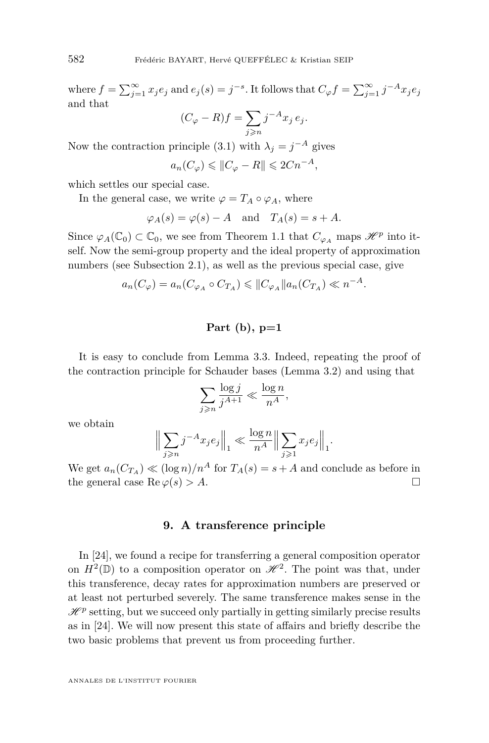where  $f = \sum_{j=1}^{\infty} x_j e_j$  and  $e_j(s) = j^{-s}$ . It follows that  $C_{\varphi} f = \sum_{j=1}^{\infty} j^{-A} x_j e_j$ and that

$$
(C_{\varphi} - R)f = \sum_{j \ge n} j^{-A} x_j e_j.
$$

Now the contraction principle [\(3.1\)](#page-9-2) with  $\lambda_j = j^{-A}$  gives

$$
a_n(C_\varphi) \leqslant \|C_\varphi - R\| \leqslant 2Cn^{-A},
$$

which settles our special case.

In the general case, we write  $\varphi = T_A \circ \varphi_A$ , where

$$
\varphi_A(s) = \varphi(s) - A
$$
 and  $T_A(s) = s + A$ .

Since  $\varphi_A(\mathbb{C}_0) \subset \mathbb{C}_0$ , we see from Theorem [1.1](#page-3-0) that  $C_{\varphi_A}$  maps  $\mathscr{H}^p$  into itself. Now the semi-group property and the ideal property of approximation numbers (see Subsection [2.1\)](#page-6-0), as well as the previous special case, give

$$
a_n(C_\varphi) = a_n(C_{\varphi_A} \circ C_{T_A}) \leqslant ||C_{\varphi_A}||a_n(C_{T_A}) \ll n^{-A}.
$$

# **Part (b), p=1**

It is easy to conclude from Lemma [3.3.](#page-9-1) Indeed, repeating the proof of the contraction principle for Schauder bases (Lemma [3.2\)](#page-9-3) and using that

$$
\sum_{j\geqslant n}\frac{\log j}{j^{A+1}}\ll \frac{\log n}{n^A},
$$

we obtain

$$
\Big\|\sum_{j\geqslant n}j^{-A}x_je_j\Big\|_1\ll \frac{\log n}{n^A}\Big\|\sum_{j\geqslant 1}x_je_j\Big\|_1.
$$

We get  $a_n(C_{T_A}) \ll (\log n)/n^A$  for  $T_A(s) = s + A$  and conclude as before in the general case  $\text{Re }\varphi(s) > A$ .

#### **9. A transference principle**

In [\[24\]](#page-37-0), we found a recipe for transferring a general composition operator on  $H^2(\mathbb{D})$  to a composition operator on  $\mathcal{H}^2$ . The point was that, under this transference, decay rates for approximation numbers are preserved or at least not perturbed severely. The same transference makes sense in the  $\mathcal{H}^p$  setting, but we succeed only partially in getting similarly precise results as in [\[24\]](#page-37-0). We will now present this state of affairs and briefly describe the two basic problems that prevent us from proceeding further.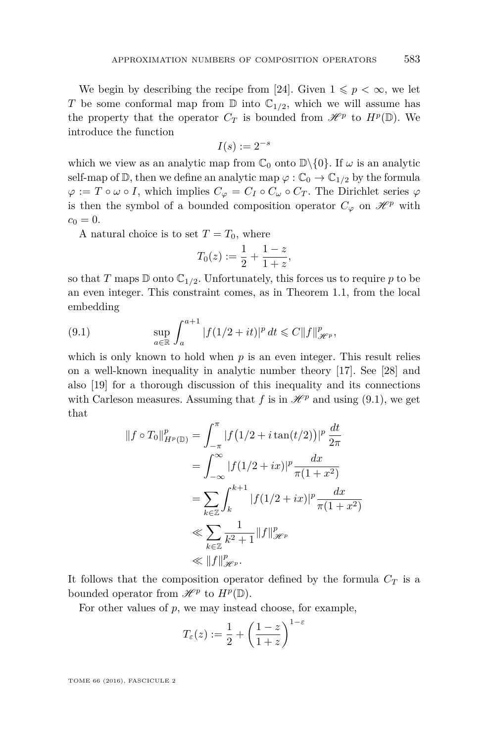We begin by describing the recipe from [\[24\]](#page-37-0). Given  $1 \leqslant p < \infty$ , we let *T* be some conformal map from  $\mathbb{D}$  into  $\mathbb{C}_{1/2}$ , which we will assume has the property that the operator  $C_T$  is bounded from  $\mathcal{H}^p$  to  $H^p(\mathbb{D})$ . We introduce the function

$$
I(s) := 2^{-s}
$$

which we view as an analytic map from  $\mathbb{C}_0$  onto  $\mathbb{D}\setminus\{0\}$ . If  $\omega$  is an analytic self-map of  $\mathbb{D}$ , then we define an analytic map  $\varphi : \mathbb{C}_0 \to \mathbb{C}_{1/2}$  by the formula  $\varphi := T \circ \omega \circ I$ , which implies  $C_{\varphi} = C_I \circ C_{\omega} \circ C_T$ . The Dirichlet series  $\varphi$ is then the symbol of a bounded composition operator  $C_{\varphi}$  on  $\mathscr{H}^p$  with  $c_0 = 0.$ 

A natural choice is to set  $T = T_0$ , where

$$
T_0(z) := \frac{1}{2} + \frac{1-z}{1+z},
$$

so that *T* maps  $\mathbb D$  onto  $\mathbb C_{1/2}$ . Unfortunately, this forces us to require *p* to be an even integer. This constraint comes, as in Theorem [1.1,](#page-3-0) from the local embedding

<span id="page-33-0"></span>(9.1) 
$$
\sup_{a \in \mathbb{R}} \int_{a}^{a+1} |f(1/2 + it)|^{p} dt \leq C ||f||_{\mathcal{H}^{p}}^{p},
$$

which is only known to hold when  $p$  is an even integer. This result relies on a well-known inequality in analytic number theory [\[17\]](#page-37-20). See [\[28\]](#page-37-21) and also [\[19\]](#page-37-17) for a thorough discussion of this inequality and its connections with Carleson measures. Assuming that  $f$  is in  $\mathcal{H}^p$  and using [\(9.1\)](#page-33-0), we get that

$$
||f \circ T_0||_{H^p(\mathbb{D})}^p = \int_{-\pi}^{\pi} |f(1/2 + i \tan(t/2))|^p \frac{dt}{2\pi}
$$
  
= 
$$
\int_{-\infty}^{\infty} |f(1/2 + ix)|^p \frac{dx}{\pi(1 + x^2)}
$$
  
= 
$$
\sum_{k \in \mathbb{Z}} \int_{k}^{k+1} |f(1/2 + ix)|^p \frac{dx}{\pi(1 + x^2)}
$$
  

$$
\ll \sum_{k \in \mathbb{Z}} \frac{1}{k^2 + 1} ||f||_{\mathcal{H}^p}^p
$$
  

$$
\ll ||f||_{\mathcal{H}^p}^p.
$$

It follows that the composition operator defined by the formula  $C_T$  is a bounded operator from  $\mathscr{H}^p$  to  $H^p(\mathbb{D})$ .

For other values of *p*, we may instead choose, for example,

$$
T_{\varepsilon}(z) := \frac{1}{2} + \left(\frac{1-z}{1+z}\right)^{1-\varepsilon}
$$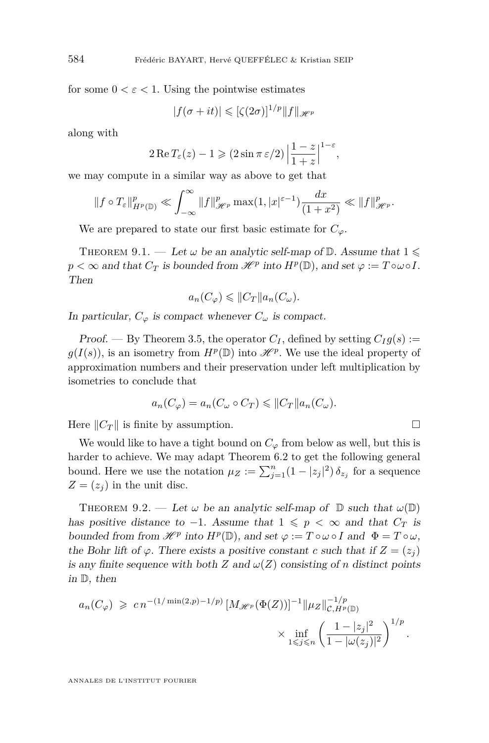for some  $0 < \varepsilon < 1$ . Using the pointwise estimates

$$
|f(\sigma + it)| \leqslant [\zeta(2\sigma)]^{1/p} ||f||_{\mathscr{H}^p}
$$

along with

$$
2\operatorname{Re} T_{\varepsilon}(z) - 1 \geqslant (2\sin \pi \varepsilon/2) \left| \frac{1-z}{1+z} \right|^{1-\varepsilon},
$$

we may compute in a similar way as above to get that

$$
\|f\circ T_{\varepsilon}\|_{H^{p}(\mathbb{D})}^{p}\ll\int_{-\infty}^{\infty}\|f\|_{\mathscr{H}^{p}}^{p}\max(1,|x|^{\varepsilon-1})\frac{dx}{(1+x^{2})}\ll\|f\|_{\mathscr{H}^{p}}^{p}.
$$

We are prepared to state our first basic estimate for  $C_\varphi$ .

<span id="page-34-0"></span>THEOREM 9.1. — Let  $\omega$  be an analytic self-map of  $\mathbb{D}$ . Assume that  $1 \leq$  $p < \infty$  and that  $C_T$  is bounded from  $\mathcal{H}^p$  into  $H^p(\mathbb{D})$ , and set  $\varphi := T \circ \omega \circ I$ . Then

$$
a_n(C_\varphi) \leqslant ||C_T|| a_n(C_\omega).
$$

In particular,  $C_{\varphi}$  is compact whenever  $C_{\omega}$  is compact.

Proof. — By Theorem [3.5,](#page-12-2) the operator  $C_I$ , defined by setting  $C_I g(s)$ :  $g(I(s))$ , is an isometry from  $H^p(\mathbb{D})$  into  $\mathcal{H}^p$ . We use the ideal property of approximation numbers and their preservation under left multiplication by isometries to conclude that

$$
a_n(C_\varphi) = a_n(C_\omega \circ C_T) \leqslant ||C_T|| a_n(C_\omega).
$$

Here  $||C_T||$  is finite by assumption.

We would like to have a tight bound on  $C_\varphi$  from below as well, but this is harder to achieve. We may adapt Theorem [6.2](#page-25-1) to get the following general bound. Here we use the notation  $\mu_Z := \sum_{j=1}^n (1 - |z_j|^2) \delta_{z_j}$  for a sequence  $Z = (z_i)$  in the unit disc.

<span id="page-34-1"></span>THEOREM 9.2. — Let  $\omega$  be an analytic self-map of  $\mathbb D$  such that  $\omega(\mathbb D)$ has positive distance to  $-1$ . Assume that  $1 \leqslant p \leq \infty$  and that  $C_T$  is bounded from from  $\mathscr{H}^p$  into  $H^p(\mathbb{D})$ , and set  $\varphi := T \circ \omega \circ I$  and  $\Phi = T \circ \omega$ , the Bohr lift of  $\varphi$ . There exists a positive constant *c* such that if  $Z = (z_j)$ is any finite sequence with both *Z* and  $\omega(Z)$  consisting of *n* distinct points in D, then

$$
a_n(C_{\varphi}) \geqslant cn^{-(1/\min(2,p)-1/p)} \left[ M_{\mathscr{H}^p}(\Phi(Z)) \right]^{-1} \|\mu_Z\|_{\mathcal{C},H^p(\mathbb{D})}^{-1/p} \times \inf_{1 \leqslant j \leqslant n} \left( \frac{1-|z_j|^2}{1-|\omega(z_j)|^2} \right)^{1/p}.
$$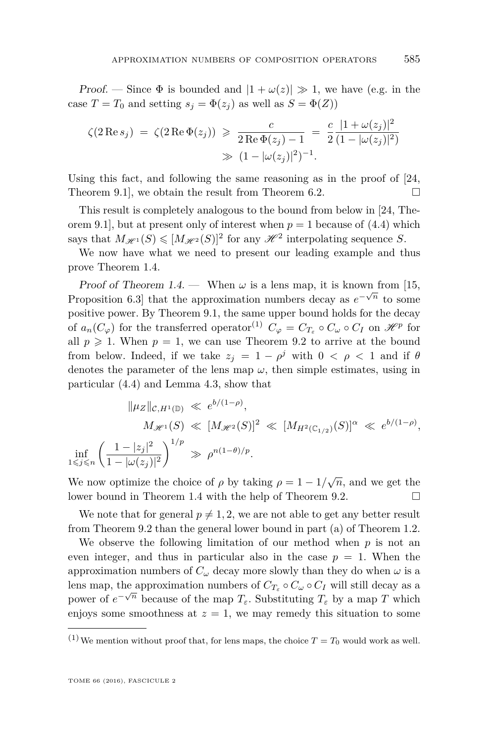Proof. — Since  $\Phi$  is bounded and  $|1 + \omega(z)| \gg 1$ , we have (e.g. in the case  $T = T_0$  and setting  $s_i = \Phi(z_i)$  as well as  $S = \Phi(Z)$ )

$$
\zeta(2 \operatorname{Re} s_j) = \zeta(2 \operatorname{Re} \Phi(z_j)) \geq \frac{c}{2 \operatorname{Re} \Phi(z_j) - 1} = \frac{c}{2} \frac{|1 + \omega(z_j)|^2}{(1 - |\omega(z_j)|^2)}
$$
  
 
$$
\gg (1 - |\omega(z_j)|^2)^{-1}.
$$

Using this fact, and following the same reasoning as in the proof of [\[24,](#page-37-0) Theorem 9.1, we obtain the result from Theorem [6.2.](#page-25-1)  $\Box$ 

This result is completely analogous to the bound from below in [\[24,](#page-37-0) Theorem 9.1], but at present only of interest when  $p = 1$  because of [\(4.4\)](#page-18-0) which says that  $M_{\mathscr{H}^1}(S) \leq [M_{\mathscr{H}^2}(S)]^2$  for any  $\mathscr{H}^2$  interpolating sequence *S*.

We now have what we need to present our leading example and thus prove Theorem [1.4.](#page-5-1)

Proof of Theorem [1.4.](#page-5-1) — When  $\omega$  is a lens map, it is known from [\[15,](#page-37-3) Proposition 6.3] that the approximation numbers decay as  $e^{-\sqrt{n}}$  to some positive power. By Theorem [9.1,](#page-34-0) the same upper bound holds for the decay of  $a_n(C_\varphi)$  for the transferred operator<sup>(1)</sup>  $C_\varphi = C_{T_\varepsilon} \circ C_\omega \circ C_I$  on  $\mathscr{H}^p$  for all  $p \geq 1$ . When  $p = 1$ , we can use Theorem [9.2](#page-34-1) to arrive at the bound from below. Indeed, if we take  $z_j = 1 - \rho^j$  with  $0 < \rho < 1$  and if  $\theta$ denotes the parameter of the lens map  $\omega$ , then simple estimates, using in particular [\(4.4\)](#page-18-0) and Lemma [4.3,](#page-18-1) show that

$$
\|\mu_Z\|_{\mathcal{C}, H^1(\mathbb{D})} \ll e^{b/(1-\rho)},
$$
  
\n
$$
M_{\mathcal{H}^1}(S) \ll [M_{\mathcal{H}^2}(S)]^2 \ll [M_{H^2(\mathbb{C}_{1/2})}(S)]^{\alpha} \ll e^{b/(1-\rho)},
$$
  
\n
$$
\inf_{1 \leq j \leq n} \left(\frac{1-|z_j|^2}{1-|\omega(z_j)|^2}\right)^{1/p} \gg \rho^{n(1-\theta)/p}.
$$

We now optimize the choice of  $\rho$  by taking  $\rho = 1 - 1/\sqrt{n}$ , and we get the lower bound in Theorem [1.4](#page-5-1) with the help of Theorem [9.2.](#page-34-1)

We note that for general  $p \neq 1, 2$ , we are not able to get any better result from Theorem [9.2](#page-34-1) than the general lower bound in part (a) of Theorem [1.2.](#page-4-0)

We observe the following limitation of our method when *p* is not an even integer, and thus in particular also in the case  $p = 1$ . When the approximation numbers of  $C_\omega$  decay more slowly than they do when  $\omega$  is a lens map, the approximation numbers of  $C_T \circ C_\omega \circ C_I$  will still decay as a power of  $e^{-\sqrt{n}}$  because of the map  $T_{\varepsilon}$ . Substituting  $T_{\varepsilon}$  by a map *T* which enjoys some smoothness at  $z = 1$ , we may remedy this situation to some

<sup>&</sup>lt;sup>(1)</sup>We mention without proof that, for lens maps, the choice  $T = T_0$  would work as well.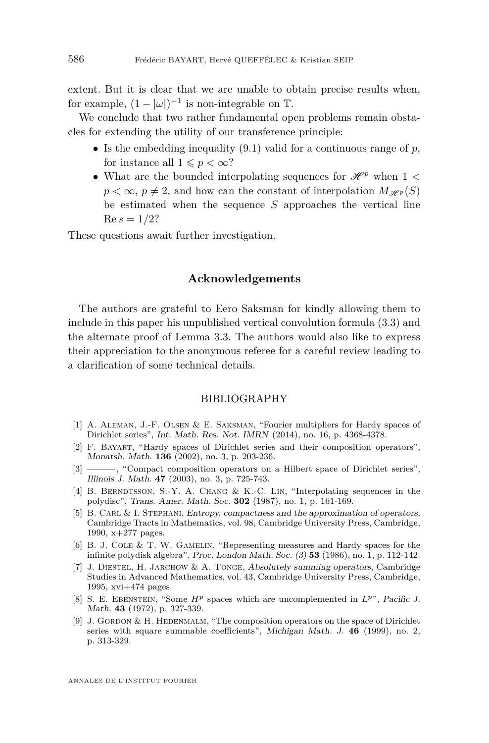extent. But it is clear that we are unable to obtain precise results when, for example,  $(1 - |\omega|)^{-1}$  is non-integrable on  $\mathbb{T}$ .

We conclude that two rather fundamental open problems remain obstacles for extending the utility of our transference principle:

- Is the embedding inequality [\(9.1\)](#page-33-0) valid for a continuous range of *p*, for instance all  $1 \leqslant p < \infty$ ?
- What are the bounded interpolating sequences for  $\mathcal{H}^p$  when 1 <  $p < \infty$ ,  $p \neq 2$ , and how can the constant of interpolation  $M_{\mathscr{H}^p}(S)$ be estimated when the sequence *S* approaches the vertical line  $Re s = 1/2?$

These questions await further investigation.

#### **Acknowledgements**

The authors are grateful to Eero Saksman for kindly allowing them to include in this paper his unpublished vertical convolution formula [\(3.3\)](#page-10-0) and the alternate proof of Lemma [3.3.](#page-9-1) The authors would also like to express their appreciation to the anonymous referee for a careful review leading to a clarification of some technical details.

#### BIBLIOGRAPHY

- <span id="page-36-5"></span>[1] A. Aleman, J.-F. Olsen & E. Saksman, "Fourier multipliers for Hardy spaces of Dirichlet series", Int. Math. Res. Not. IMRN (2014), no. 16, p. 4368-4378.
- <span id="page-36-0"></span>[2] F. Bayart, "Hardy spaces of Dirichlet series and their composition operators", Monatsh. Math. **136** (2002), no. 3, p. 203-236.
- <span id="page-36-1"></span>[3] ——— , "Compact composition operators on a Hilbert space of Dirichlet series", Illinois J. Math. **47** (2003), no. 3, p. 725-743.
- <span id="page-36-8"></span>[4] B. BERNDTSSON, S.-Y. A. CHANG & K.-C. LIN, "Interpolating sequences in the polydisc", Trans. Amer. Math. Soc. **302** (1987), no. 1, p. 161-169.
- <span id="page-36-4"></span>[5] B. CARL & I. STEPHANI, Entropy, compactness and the approximation of operators, Cambridge Tracts in Mathematics, vol. 98, Cambridge University Press, Cambridge, 1990, x+277 pages.
- <span id="page-36-7"></span>[6] B. J. COLE & T. W. GAMELIN, "Representing measures and Hardy spaces for the infinite polydisk algebra", Proc. London Math. Soc. (3) **53** (1986), no. 1, p. 112-142.
- <span id="page-36-6"></span>[7] J. Diestel, H. Jarchow & A. Tonge, Absolutely summing operators, Cambridge Studies in Advanced Mathematics, vol. 43, Cambridge University Press, Cambridge, 1995, xvi+474 pages.
- <span id="page-36-3"></span>[8] S. E. Ebenstein, "Some *H<sup>p</sup>* spaces which are uncomplemented in *Lp*", Pacific J. Math. **43** (1972), p. 327-339.
- <span id="page-36-2"></span>[9] J. GORDON & H. HEDENMALM, "The composition operators on the space of Dirichlet series with square summable coefficients", Michigan Math. J. **46** (1999), no. 2, p. 313-329.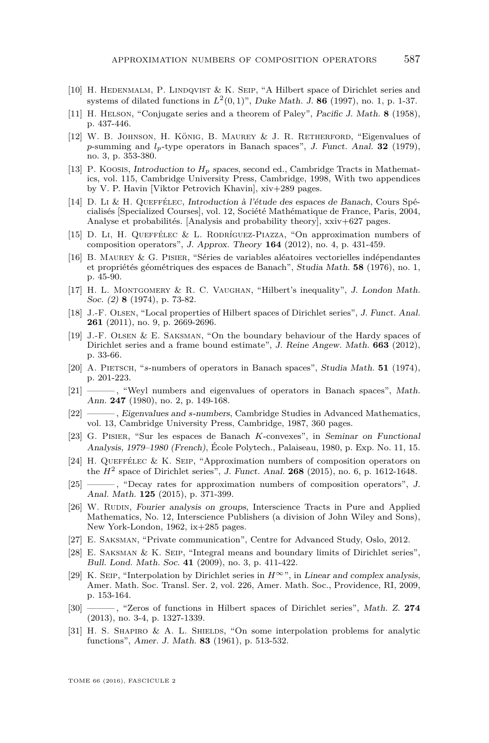- <span id="page-37-13"></span>[10] H. Hedenmalm, P. Lindqvist & K. Seip, "A Hilbert space of Dirichlet series and systems of dilated functions in *L*<sup>2</sup> (0*,* 1)", Duke Math. J. **86** (1997), no. 1, p. 1-37.
- <span id="page-37-9"></span>[11] H. Helson, "Conjugate series and a theorem of Paley", Pacific J. Math. **8** (1958), p. 437-446.
- <span id="page-37-8"></span>[12] W. B. Johnson, H. König, B. Maurey & J. R. Retherford, "Eigenvalues of *p*-summing and *lp*-type operators in Banach spaces", J. Funct. Anal. **32** (1979), no. 3, p. 353-380.
- <span id="page-37-19"></span>[13] P. Koosis, *Introduction to H<sub>p</sub>* spaces, second ed., Cambridge Tracts in Mathematics, vol. 115, Cambridge University Press, Cambridge, 1998, With two appendices by V. P. Havin [Viktor Petrovich Khavin], xiv+289 pages.
- <span id="page-37-11"></span>[14] D. Li & H. Queffélec, Introduction à l'étude des espaces de Banach, Cours Spécialisés [Specialized Courses], vol. 12, Société Mathématique de France, Paris, 2004, Analyse et probabilités. [Analysis and probability theory], xxiv+627 pages.
- <span id="page-37-3"></span>[15] D. Li, H. Queffélec & L. Rodríguez-Piazza, "On approximation numbers of composition operators", J. Approx. Theory **164** (2012), no. 4, p. 431-459.
- <span id="page-37-15"></span>[16] B. Maurey & G. Pisier, "Séries de variables aléatoires vectorielles indépendantes et propriétés géométriques des espaces de Banach", Studia Math. **58** (1976), no. 1, p. 45-90.
- <span id="page-37-20"></span>[17] H. L. Montgomery & R. C. Vaughan, "Hilbert's inequality", J. London Math. Soc. (2) **8** (1974), p. 73-82.
- <span id="page-37-2"></span>[18] J.-F. Olsen, "Local properties of Hilbert spaces of Dirichlet series", J. Funct. Anal. **261** (2011), no. 9, p. 2669-2696.
- <span id="page-37-17"></span>[19] J.-F. OLSEN & E. SAKSMAN, "On the boundary behaviour of the Hardy spaces of Dirichlet series and a frame bound estimate", J. Reine Angew. Math. **663** (2012), p. 33-66.
- <span id="page-37-5"></span>[20] A. Pietsch, "*s*-numbers of operators in Banach spaces", Studia Math. **51** (1974), p. 201-223.
- <span id="page-37-6"></span>[21] ——— , "Weyl numbers and eigenvalues of operators in Banach spaces", Math. Ann. **247** (1980), no. 2, p. 149-168.
- <span id="page-37-7"></span>[22] ——— , Eigenvalues and *s*-numbers, Cambridge Studies in Advanced Mathematics, vol. 13, Cambridge University Press, Cambridge, 1987, 360 pages.
- <span id="page-37-14"></span>[23] G. Pisier, "Sur les espaces de Banach *K*-convexes", in Seminar on Functional Analysis, 1979–1980 (French), École Polytech., Palaiseau, 1980, p. Exp. No. 11, 15.
- <span id="page-37-0"></span>[24] H. Queffélec & K. Seip, "Approximation numbers of composition operators on the  $H^2$  space of Dirichlet series", J. Funct. Anal. **268** (2015), no. 6, p. 1612-1648.
- <span id="page-37-4"></span>[25] ——— , "Decay rates for approximation numbers of composition operators", J. Anal. Math. **125** (2015), p. 371-399.
- <span id="page-37-10"></span>[26] W. RUDIN, Fourier analysis on groups, Interscience Tracts in Pure and Applied Mathematics, No. 12, Interscience Publishers (a division of John Wiley and Sons), New York-London, 1962, ix+285 pages.
- <span id="page-37-12"></span>[27] E. Saksman, "Private communication", Centre for Advanced Study, Oslo, 2012.
- <span id="page-37-21"></span>[28] E. Saksman & K. Seip, "Integral means and boundary limits of Dirichlet series", Bull. Lond. Math. Soc. **41** (2009), no. 3, p. 411-422.
- <span id="page-37-18"></span>[29] K. SEIP, "Interpolation by Dirichlet series in  $H^{\infty}$ ", in Linear and complex analysis, Amer. Math. Soc. Transl. Ser. 2, vol. 226, Amer. Math. Soc., Providence, RI, 2009, p. 153-164.
- <span id="page-37-16"></span>[30] ——— , "Zeros of functions in Hilbert spaces of Dirichlet series", Math. Z. **274** (2013), no. 3-4, p. 1327-1339.
- <span id="page-37-1"></span>[31] H. S. SHAPIRO & A. L. SHIELDS, "On some interpolation problems for analytic functions", Amer. J. Math. **83** (1961), p. 513-532.